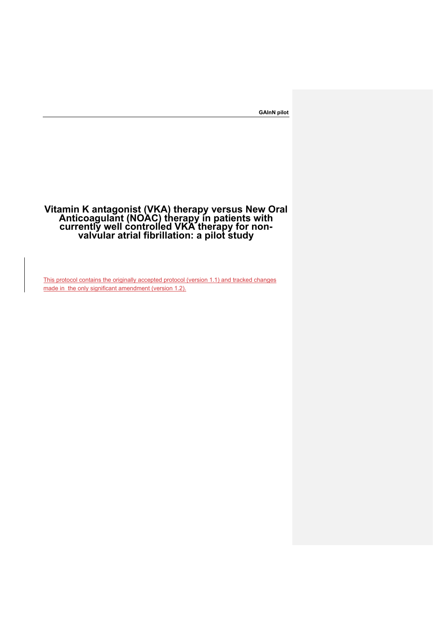# **Vitamin K antagonist (VKA) therapy versus New Oral Anticoagulant (NOAC) therapy in patients with currently well controlled VKA therapy for non- valvular atrial fibrillation: a pilot study**

This protocol contains the originally accepted protocol (version 1.1) and tracked changes made in the only significant amendment (version 1.2).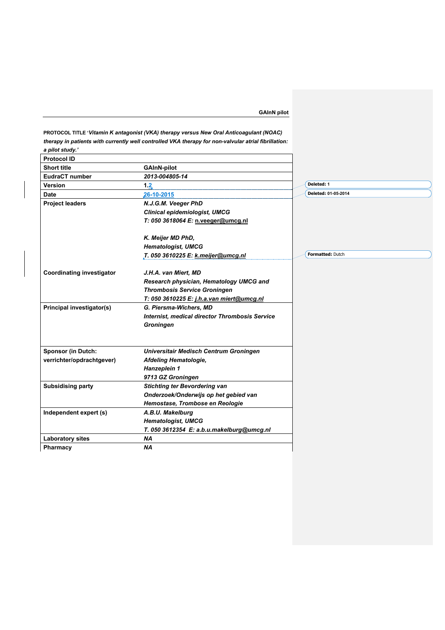**PROTOCOL TITLE '***Vitamin K antagonist (VKA) therapy versus New Oral Anticoagulant (NOAC) therapy in patients with currently well controlled VKA therapy for non-valvular atrial fibrillation: a pilot study.'*

| <b>Protocol ID</b>               |                                                       |                         |
|----------------------------------|-------------------------------------------------------|-------------------------|
| <b>Short title</b>               | <b>GAInN-pilot</b>                                    |                         |
| <b>EudraCT number</b>            | 2013-004805-14                                        |                         |
| Version                          | 1.2                                                   | Deleted: 1              |
| <b>Date</b>                      | 26-10-2015                                            | Deleted: 01-05-2014     |
| <b>Project leaders</b>           | N.J.G.M. Veeger PhD                                   |                         |
|                                  | <b>Clinical epidemiologist, UMCG</b>                  |                         |
|                                  | T: 050 3618064 E: n.veeger@umcg.nl                    |                         |
|                                  | K. Meijer MD PhD,                                     |                         |
|                                  | <b>Hematologist, UMCG</b>                             |                         |
|                                  | T. 050 3610225 E: k.meijer@umcg.nl                    | <b>Formatted: Dutch</b> |
| <b>Coordinating investigator</b> | J.H.A. van Miert, MD                                  |                         |
|                                  | Research physician, Hematology UMCG and               |                         |
|                                  | <b>Thrombosis Service Groningen</b>                   |                         |
|                                  | T: 050 3610225 E: j.h.a.van miert@umcg.nl             |                         |
| <b>Principal investigator(s)</b> | G. Piersma-Wichers, MD                                |                         |
|                                  | <b>Internist, medical director Thrombosis Service</b> |                         |
|                                  | <b>Groningen</b>                                      |                         |
| <b>Sponsor (in Dutch:</b>        | Universitair Medisch Centrum Groningen                |                         |
| verrichter/opdrachtgever)        | Afdeling Hematologie,                                 |                         |
|                                  | Hanzeplein 1                                          |                         |
|                                  | 9713 GZ Groningen                                     |                         |
| <b>Subsidising party</b>         | <b>Stichting ter Bevordering van</b>                  |                         |
|                                  | Onderzoek/Onderwijs op het gebied van                 |                         |
|                                  | Hemostase, Trombose en Reologie                       |                         |
| Independent expert (s)           | A.B.U. Makelburg                                      |                         |
|                                  | <b>Hematologist, UMCG</b>                             |                         |
|                                  | T. 050 3612354 E: a.b.u.makelburg@umcg.nl             |                         |
| <b>Laboratory sites</b>          | <b>NA</b>                                             |                         |
| Pharmacy                         | <b>NA</b>                                             |                         |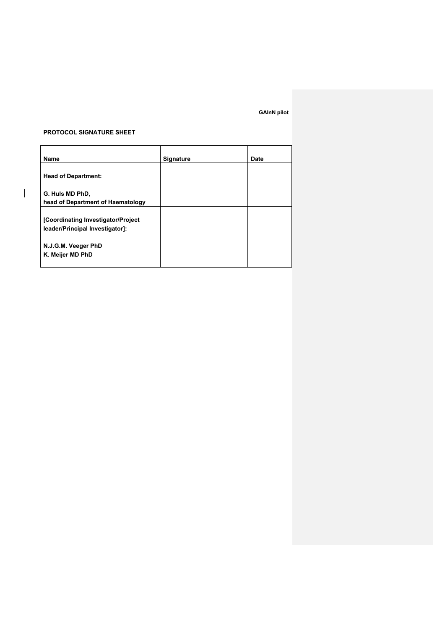# **PROTOCOL SIGNATURE SHEET**

 $\overline{\phantom{a}}$ 

| Name                                                 | <b>Signature</b> | Date |
|------------------------------------------------------|------------------|------|
| <b>Head of Department:</b>                           |                  |      |
| G. Huls MD PhD,<br>head of Department of Haematology |                  |      |
| [Coordinating Investigator/Project                   |                  |      |
| leader/Principal Investigator]:                      |                  |      |
| N.J.G.M. Veeger PhD<br>K. Meijer MD PhD              |                  |      |
|                                                      |                  |      |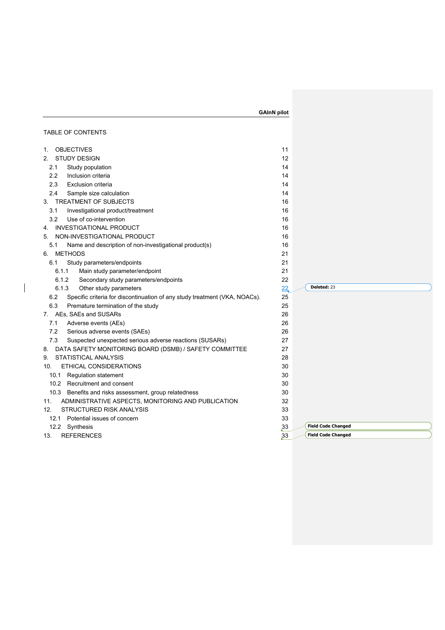|                                                                                   | <b>GAInN pilot</b> |                           |
|-----------------------------------------------------------------------------------|--------------------|---------------------------|
|                                                                                   |                    |                           |
| TABLE OF CONTENTS                                                                 |                    |                           |
| <b>OBJECTIVES</b><br>1.                                                           | 11                 |                           |
| <b>STUDY DESIGN</b><br>$2_{-}$                                                    | 12                 |                           |
| 2.1<br>Study population                                                           | 14                 |                           |
| 2.2<br>Inclusion criteria                                                         | 14                 |                           |
| 2.3<br><b>Exclusion criteria</b>                                                  | 14                 |                           |
| 2.4<br>Sample size calculation                                                    | 14                 |                           |
| TREATMENT OF SUBJECTS<br>3.                                                       | 16                 |                           |
| 3.1<br>Investigational product/treatment                                          | 16                 |                           |
| 3.2<br>Use of co-intervention                                                     | 16                 |                           |
| <b>INVESTIGATIONAL PRODUCT</b><br>4.                                              | 16                 |                           |
| NON-INVESTIGATIONAL PRODUCT<br>5.                                                 | 16                 |                           |
| 5.1<br>Name and description of non-investigational product(s)                     | 16                 |                           |
| <b>METHODS</b><br>6.                                                              | 21                 |                           |
| 6.1<br>Study parameters/endpoints                                                 | 21                 |                           |
| 6.1.1<br>Main study parameter/endpoint                                            | 21                 |                           |
| 6.1.2<br>Secondary study parameters/endpoints                                     | 22                 |                           |
| 6.1.3<br>Other study parameters                                                   | 22                 | Deleted: 23               |
| 6.2<br>Specific criteria for discontinuation of any study treatment (VKA, NOACs). | 25                 |                           |
| 6.3<br>Premature termination of the study                                         | 25                 |                           |
| AEs, SAEs and SUSARs<br>7.                                                        | 26                 |                           |
| 7.1<br>Adverse events (AEs)                                                       | 26                 |                           |
| 7.2<br>Serious adverse events (SAEs)                                              | 26                 |                           |
| 7.3<br>Suspected unexpected serious adverse reactions (SUSARs)                    | 27                 |                           |
| DATA SAFETY MONITORING BOARD (DSMB) / SAFETY COMMITTEE<br>8.                      | 27                 |                           |
| STATISTICAL ANALYSIS<br>9.                                                        | 28                 |                           |
| ETHICAL CONSIDERATIONS<br>10.                                                     | 30                 |                           |
| 10.1 Regulation statement                                                         | 30                 |                           |
| 10.2 Recruitment and consent                                                      | 30                 |                           |
| 10.3 Benefits and risks assessment, group relatedness                             | 30                 |                           |
| ADMINISTRATIVE ASPECTS, MONITORING AND PUBLICATION<br>11.                         | 32                 |                           |
| <b>STRUCTURED RISK ANALYSIS</b><br>12.                                            | 33                 |                           |
| 12.1 Potential issues of concern                                                  | 33                 |                           |
| 12.2 Synthesis                                                                    | 33                 | <b>Field Code Changed</b> |
| <b>REFERENCES</b><br>13.                                                          | 33                 | <b>Field Code Changed</b> |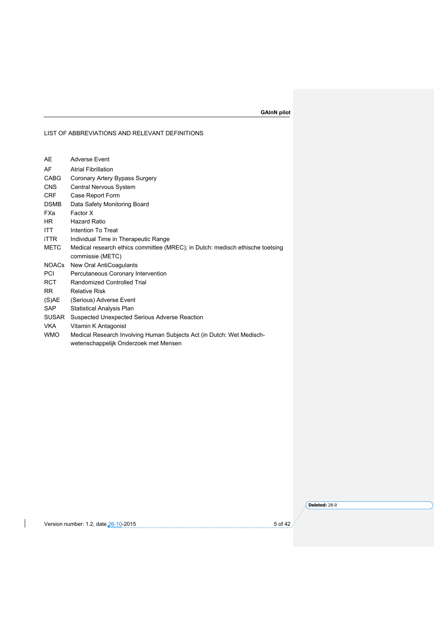LIST OF ABBREVIATIONS AND RELEVANT DEFINITIONS

| <b>Adverse Event</b>                                                          |
|-------------------------------------------------------------------------------|
| <b>Atrial Fibrillation</b>                                                    |
| Coronary Artery Bypass Surgery                                                |
| Central Nervous System                                                        |
| Case Report Form                                                              |
| Data Safety Monitoring Board                                                  |
| Factor X                                                                      |
| <b>Hazard Ratio</b>                                                           |
| Intention To Treat                                                            |
| Individual Time in Therapeutic Range                                          |
| Medical research ethics committee (MREC); in Dutch: medisch ethische toetsing |
| commissie (METC)                                                              |
| New Oral AntiCoagulants                                                       |
| Percutaneous Coronary Intervention                                            |
| Randomized Controlled Trial                                                   |
| <b>Relative Risk</b>                                                          |
| (Serious) Adverse Event                                                       |
| <b>Statistical Analysis Plan</b>                                              |
| Suspected Unexpected Serious Adverse Reaction                                 |
| Vitamin K Antagonist                                                          |
| Medical Research Involving Human Subjects Act (in Dutch: Wet Medisch-         |
| wetenschappelijk Onderzoek met Mensen                                         |
|                                                                               |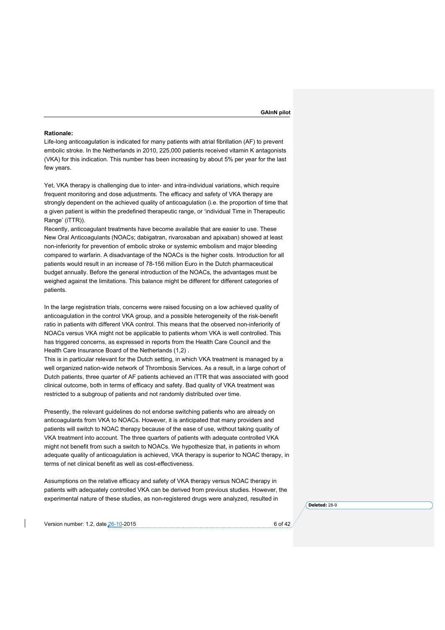#### **Rationale:**

Life-long anticoagulation is indicated for many patients with atrial fibrillation (AF) to prevent embolic stroke. In the Netherlands in 2010, 225,000 patients received vitamin K antagonists (VKA) for this indication. This number has been increasing by about 5% per year for the last few years.

Yet, VKA therapy is challenging due to inter- and intra-individual variations, which require frequent monitoring and dose adjustments. The efficacy and safety of VKA therapy are strongly dependent on the achieved quality of anticoagulation (i.e. the proportion of time that a given patient is within the predefined therapeutic range, or 'individual Time in Therapeutic Range' (iTTR)).

Recently, anticoagulant treatments have become available that are easier to use. These New Oral Anticoagulants (NOACs; dabigatran, rivaroxaban and apixaban) showed at least non-inferiority for prevention of embolic stroke or systemic embolism and major bleeding compared to warfarin. A disadvantage of the NOACs is the higher costs. Introduction for all patients would result in an increase of 78-156 million Euro in the Dutch pharmaceutical budget annually. Before the general introduction of the NOACs, the advantages must be weighed against the limitations. This balance might be different for different categories of patients.

In the large registration trials, concerns were raised focusing on a low achieved quality of anticoagulation in the control VKA group, and a possible heterogeneity of the risk-benefit ratio in patients with different VKA control. This means that the observed non-inferiority of NOACs versus VKA might not be applicable to patients whom VKA is well controlled. This has triggered concerns, as expressed in reports from the Health Care Council and the Health Care Insurance Board of the Netherlands (1,2) .

This is in particular relevant for the Dutch setting, in which VKA treatment is managed by a well organized nation-wide network of Thrombosis Services. As a result, in a large cohort of Dutch patients, three quarter of AF patients achieved an iTTR that was associated with good clinical outcome, both in terms of efficacy and safety. Bad quality of VKA treatment was restricted to a subgroup of patients and not randomly distributed over time.

Presently, the relevant guidelines do not endorse switching patients who are already on anticoagulants from VKA to NOACs. However, it is anticipated that many providers and patients will switch to NOAC therapy because of the ease of use, without taking quality of VKA treatment into account. The three quarters of patients with adequate controlled VKA might not benefit from such a switch to NOACs. We hypothesize that, in patients in whom adequate quality of anticoagulation is achieved, VKA therapy is superior to NOAC therapy, in terms of net clinical benefit as well as cost-effectiveness.

Assumptions on the relative efficacy and safety of VKA therapy versus NOAC therapy in patients with adequately controlled VKA can be derived from previous studies. However, the experimental nature of these studies, as non-registered drugs were analyzed, resulted in

Version number: 1.2, date 26-10-2015 **6 of 42** and the state of 42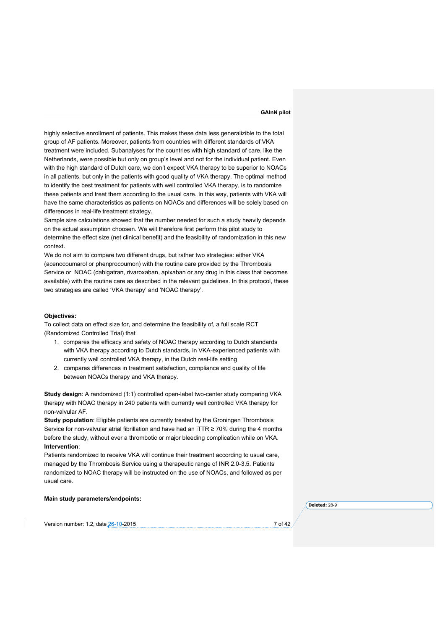highly selective enrollment of patients. This makes these data less generalizible to the total group of AF patients. Moreover, patients from countries with different standards of VKA treatment were included. Subanalyses for the countries with high standard of care, like the Netherlands, were possible but only on group's level and not for the individual patient. Even with the high standard of Dutch care, we don't expect VKA therapy to be superior to NOACs in all patients, but only in the patients with good quality of VKA therapy. The optimal method to identify the best treatment for patients with well controlled VKA therapy, is to randomize these patients and treat them according to the usual care. In this way, patients with VKA will have the same characteristics as patients on NOACs and differences will be solely based on differences in real-life treatment strategy.

Sample size calculations showed that the number needed for such a study heavily depends on the actual assumption choosen. We will therefore first perform this pilot study to determine the effect size (net clinical benefit) and the feasibility of randomization in this new context.

We do not aim to compare two different drugs, but rather two strategies: either VKA (acenocoumarol or phenprocoumon) with the routine care provided by the Thrombosis Service or NOAC (dabigatran, rivaroxaban, apixaban or any drug in this class that becomes available) with the routine care as described in the relevant guidelines. In this protocol, these two strategies are called 'VKA therapy' and 'NOAC therapy'.

#### **Objectives:**

To collect data on effect size for, and determine the feasibility of, a full scale RCT (Randomized Controlled Trial) that

- 1. compares the efficacy and safety of NOAC therapy according to Dutch standards with VKA therapy according to Dutch standards, in VKA-experienced patients with currently well controlled VKA therapy, in the Dutch real-life setting
- 2. compares differences in treatment satisfaction, compliance and quality of life between NOACs therapy and VKA therapy.

**Study design**: A randomized (1:1) controlled open-label two-center study comparing VKA therapy with NOAC therapy in 240 patients with currently well controlled VKA therapy for non-valvular AF.

**Study population**: Eligible patients are currently treated by the Groningen Thrombosis Service for non-valvular atrial fibrillation and have had an iTTR  $\geq$  70% during the 4 months before the study, without ever a thrombotic or major bleeding complication while on VKA. **Intervention**:

Patients randomized to receive VKA will continue their treatment according to usual care, managed by the Thrombosis Service using a therapeutic range of INR 2.0-3.5. Patients randomized to NOAC therapy will be instructed on the use of NOACs, and followed as per usual care.

# **Main study parameters/endpoints:**

**Deleted:** 28-9

Version number: 1.2, date 26-10-2015 **7** of 42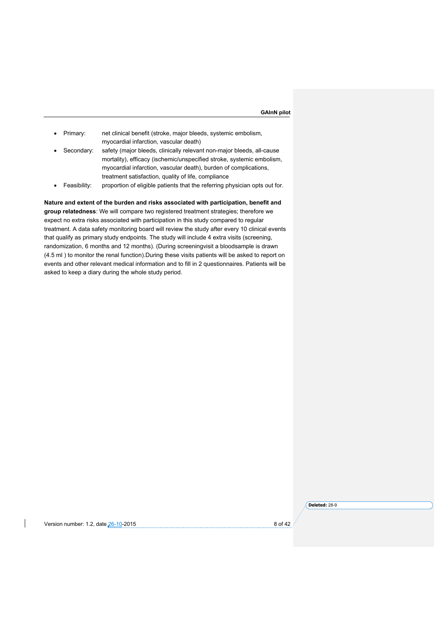- Primary: net clinical benefit (stroke, major bleeds, systemic embolism, myocardial infarction, vascular death)
- Secondary: safety (major bleeds, clinically relevant non-major bleeds, all-cause mortality), efficacy (ischemic/unspecified stroke, systemic embolism, myocardial infarction, vascular death), burden of complications, treatment satisfaction, quality of life, compliance
- Feasibility: proportion of eligible patients that the referring physician opts out for.

# **Nature and extent of the burden and risks associated with participation, benefit and**

**group relatedness**: We will compare two registered treatment strategies; therefore we expect no extra risks associated with participation in this study compared to regular treatment. A data safety monitoring board will review the study after every 10 clinical events that qualify as primary study endpoints. The study will include 4 extra visits (screening, randomization, 6 months and 12 months). (During screeningvisit a bloodsample is drawn (4.5 ml ) to monitor the renal function).During these visits patients will be asked to report on events and other relevant medical information and to fill in 2 questionnaires. Patients will be asked to keep a diary during the whole study period.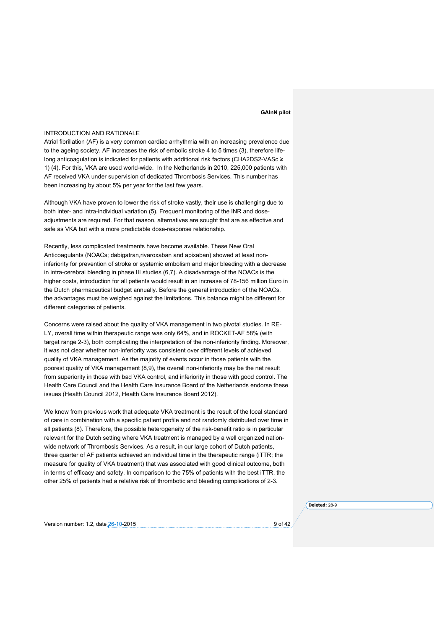#### INTRODUCTION AND RATIONALE

Atrial fibrillation (AF) is a very common cardiac arrhythmia with an increasing prevalence due to the ageing society. AF increases the risk of embolic stroke 4 to 5 times (3), therefore lifelong anticoagulation is indicated for patients with additional risk factors (CHA2DS2-VASc ≥ 1) (4). For this, VKA are used world-wide. In the Netherlands in 2010, 225,000 patients with AF received VKA under supervision of dedicated Thrombosis Services. This number has been increasing by about 5% per year for the last few years.

Although VKA have proven to lower the risk of stroke vastly, their use is challenging due to both inter- and intra-individual variation (5). Frequent monitoring of the INR and doseadjustments are required. For that reason, alternatives are sought that are as effective and safe as VKA but with a more predictable dose-response relationship.

Recently, less complicated treatments have become available. These New Oral Anticoagulants (NOACs; dabigatran,rivaroxaban and apixaban) showed at least noninferiority for prevention of stroke or systemic embolism and major bleeding with a decrease in intra-cerebral bleeding in phase III studies (6,7). A disadvantage of the NOACs is the higher costs, introduction for all patients would result in an increase of 78-156 million Euro in the Dutch pharmaceutical budget annually. Before the general introduction of the NOACs, the advantages must be weighed against the limitations. This balance might be different for different categories of patients.

Concerns were raised about the quality of VKA management in two pivotal studies. In RE-LY, overall time within therapeutic range was only 64%, and in ROCKET-AF 58% (with target range 2-3), both complicating the interpretation of the non-inferiority finding. Moreover, it was not clear whether non-inferiority was consistent over different levels of achieved quality of VKA management. As the majority of events occur in those patients with the poorest quality of VKA management (8,9), the overall non-inferiority may be the net result from superiority in those with bad VKA control, and inferiority in those with good control. The Health Care Council and the Health Care Insurance Board of the Netherlands endorse these issues (Health Council 2012, Health Care Insurance Board 2012).

We know from previous work that adequate VKA treatment is the result of the local standard of care in combination with a specific patient profile and not randomly distributed over time in all patients (8). Therefore, the possible heterogeneity of the risk-benefit ratio is in particular relevant for the Dutch setting where VKA treatment is managed by a well organized nationwide network of Thrombosis Services. As a result, in our large cohort of Dutch patients, three quarter of AF patients achieved an individual time in the therapeutic range (iTTR; the measure for quality of VKA treatment) that was associated with good clinical outcome, both in terms of efficacy and safety. In comparison to the 75% of patients with the best iTTR, the other 25% of patients had a relative risk of thrombotic and bleeding complications of 2-3.

Version number: 1.2, date 26-10-2015 **9 of 42** and the state of 42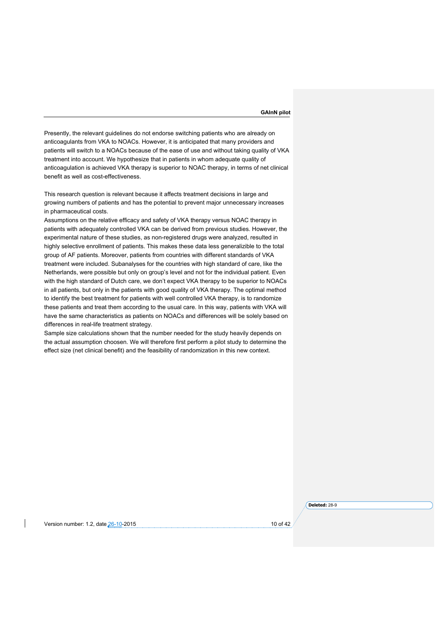Presently, the relevant guidelines do not endorse switching patients who are already on anticoagulants from VKA to NOACs. However, it is anticipated that many providers and patients will switch to a NOACs because of the ease of use and without taking quality of VKA treatment into account. We hypothesize that in patients in whom adequate quality of anticoagulation is achieved VKA therapy is superior to NOAC therapy, in terms of net clinical benefit as well as cost-effectiveness.

This research question is relevant because it affects treatment decisions in large and growing numbers of patients and has the potential to prevent major unnecessary increases in pharmaceutical costs.

Assumptions on the relative efficacy and safety of VKA therapy versus NOAC therapy in patients with adequately controlled VKA can be derived from previous studies. However, the experimental nature of these studies, as non-registered drugs were analyzed, resulted in highly selective enrollment of patients. This makes these data less generalizible to the total group of AF patients. Moreover, patients from countries with different standards of VKA treatment were included. Subanalyses for the countries with high standard of care, like the Netherlands, were possible but only on group's level and not for the individual patient. Even with the high standard of Dutch care, we don't expect VKA therapy to be superior to NOACs in all patients, but only in the patients with good quality of VKA therapy. The optimal method to identify the best treatment for patients with well controlled VKA therapy, is to randomize these patients and treat them according to the usual care. In this way, patients with VKA will have the same characteristics as patients on NOACs and differences will be solely based on differences in real-life treatment strategy.

Sample size calculations shown that the number needed for the study heavily depends on the actual assumption choosen. We will therefore first perform a pilot study to determine the effect size (net clinical benefit) and the feasibility of randomization in this new context.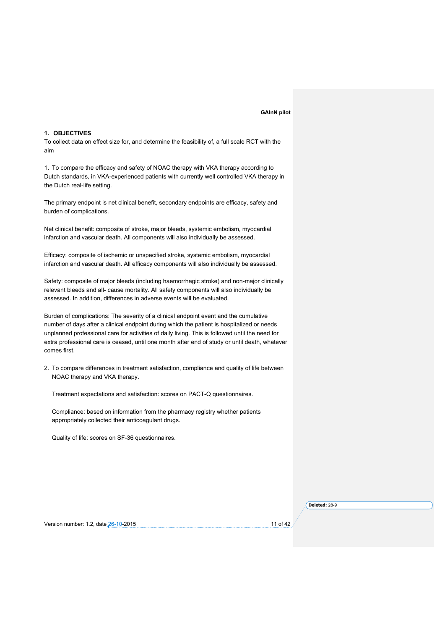# **1. OBJECTIVES**

To collect data on effect size for, and determine the feasibility of, a full scale RCT with the aim

1. To compare the efficacy and safety of NOAC therapy with VKA therapy according to Dutch standards, in VKA-experienced patients with currently well controlled VKA therapy in the Dutch real-life setting.

The primary endpoint is net clinical benefit, secondary endpoints are efficacy, safety and burden of complications.

Net clinical benefit: composite of stroke, major bleeds, systemic embolism, myocardial infarction and vascular death. All components will also individually be assessed.

Efficacy: composite of ischemic or unspecified stroke, systemic embolism, myocardial infarction and vascular death. All efficacy components will also individually be assessed.

Safety: composite of major bleeds (including haemorrhagic stroke) and non-major clinically relevant bleeds and all- cause mortality. All safety components will also individually be assessed. In addition, differences in adverse events will be evaluated.

Burden of complications: The severity of a clinical endpoint event and the cumulative number of days after a clinical endpoint during which the patient is hospitalized or needs unplanned professional care for activities of daily living. This is followed until the need for extra professional care is ceased, until one month after end of study or until death, whatever comes first.

2. To compare differences in treatment satisfaction, compliance and quality of life between NOAC therapy and VKA therapy.

Treatment expectations and satisfaction: scores on PACT-Q questionnaires.

Compliance: based on information from the pharmacy registry whether patients appropriately collected their anticoagulant drugs.

Quality of life: scores on SF-36 questionnaires.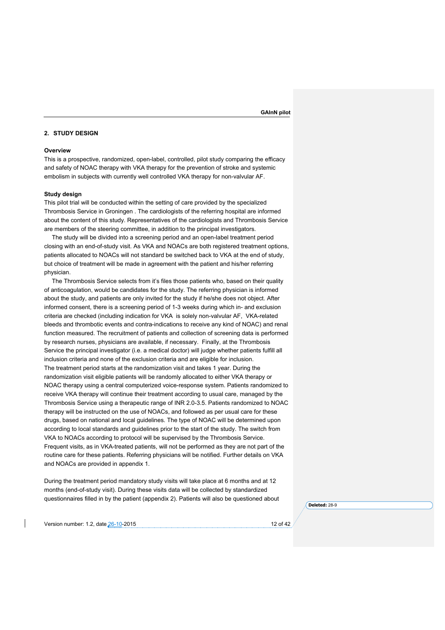# **2. STUDY DESIGN**

### **Overview**

This is a prospective, randomized, open-label, controlled, pilot study comparing the efficacy and safety of NOAC therapy with VKA therapy for the prevention of stroke and systemic embolism in subjects with currently well controlled VKA therapy for non-valvular AF.

#### **Study design**

This pilot trial will be conducted within the setting of care provided by the specialized Thrombosis Service in Groningen . The cardiologists of the referring hospital are informed about the content of this study. Representatives of the cardiologists and Thrombosis Service are members of the steering committee, in addition to the principal investigators.

The study will be divided into a screening period and an open-label treatment period closing with an end-of-study visit. As VKA and NOACs are both registered treatment options, patients allocated to NOACs will not standard be switched back to VKA at the end of study, but choice of treatment will be made in agreement with the patient and his/her referring physician.

The Thrombosis Service selects from it's files those patients who, based on their quality of anticoagulation, would be candidates for the study. The referring physician is informed about the study, and patients are only invited for the study if he/she does not object. After informed consent, there is a screening period of 1-3 weeks during which in- and exclusion criteria are checked (including indication for VKA is solely non-valvular AF, VKA-related bleeds and thrombotic events and contra-indications to receive any kind of NOAC) and renal function measured. The recruitment of patients and collection of screening data is performed by research nurses, physicians are available, if necessary. Finally, at the Thrombosis Service the principal investigator (i.e. a medical doctor) will judge whether patients fulfill all inclusion criteria and none of the exclusion criteria and are eligible for inclusion. The treatment period starts at the randomization visit and takes 1 year. During the randomization visit eligible patients will be randomly allocated to either VKA therapy or NOAC therapy using a central computerized voice-response system. Patients randomized to receive VKA therapy will continue their treatment according to usual care, managed by the Thrombosis Service using a therapeutic range of INR 2.0-3.5. Patients randomized to NOAC therapy will be instructed on the use of NOACs, and followed as per usual care for these drugs, based on national and local guidelines. The type of NOAC will be determined upon according to local standards and guidelines prior to the start of the study. The switch from VKA to NOACs according to protocol will be supervised by the Thrombosis Service. Frequent visits, as in VKA-treated patients, will not be performed as they are not part of the routine care for these patients. Referring physicians will be notified. Further details on VKA and NOACs are provided in appendix 1.

During the treatment period mandatory study visits will take place at 6 months and at 12 months (end-of-study visit). During these visits data will be collected by standardized questionnaires filled in by the patient (appendix 2). Patients will also be questioned about

Version number: 1.2, date 26-10-2015 12 of 42 of 42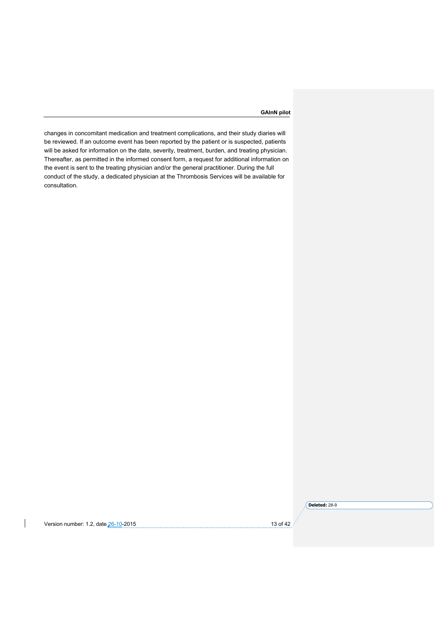changes in concomitant medication and treatment complications, and their study diaries will be reviewed. If an outcome event has been reported by the patient or is suspected, patients will be asked for information on the date, severity, treatment, burden, and treating physician. Thereafter, as permitted in the informed consent form, a request for additional information on the event is sent to the treating physician and/or the general practitioner. During the full conduct of the study, a dedicated physician at the Thrombosis Services will be available for consultation.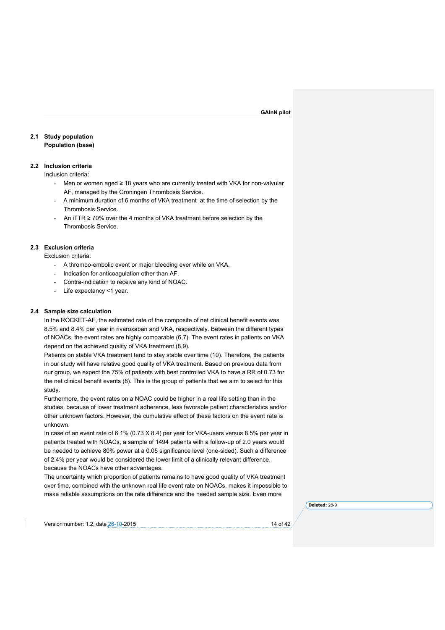# **2.1 Study population Population (base)**

### **2.2 Inclusion criteria**

Inclusion criteria:

- Men or women aged ≥ 18 years who are currently treated with VKA for non-valvular AF, managed by the Groningen Thrombosis Service.
- A minimum duration of 6 months of VKA treatment at the time of selection by the Thrombosis Service.
- An iTTR  $\geq$  70% over the 4 months of VKA treatment before selection by the Thrombosis Service.

# **2.3 Exclusion criteria**

Exclusion criteria:

- A thrombo-embolic event or major bleeding ever while on VKA.
- Indication for anticoagulation other than AF.
- Contra-indication to receive any kind of NOAC.
- Life expectancy <1 year.

# **2.4 Sample size calculation**

In the ROCKET-AF, the estimated rate of the composite of net clinical benefit events was 8.5% and 8.4% per year in rivaroxaban and VKA, respectively. Between the different types of NOACs, the event rates are highly comparable (6,7). The event rates in patients on VKA depend on the achieved quality of VKA treatment (8,9).

Patients on stable VKA treatment tend to stay stable over time (10). Therefore, the patients in our study will have relative good quality of VKA treatment. Based on previous data from our group, we expect the 75% of patients with best controlled VKA to have a RR of 0.73 for the net clinical benefit events (8). This is the group of patients that we aim to select for this study.

Furthermore, the event rates on a NOAC could be higher in a real life setting than in the studies, because of lower treatment adherence, less favorable patient characteristics and/or other unknown factors. However, the cumulative effect of these factors on the event rate is unknown.

In case of an event rate of 6.1% (0.73 X 8.4) per year for VKA-users versus 8.5% per year in patients treated with NOACs, a sample of 1494 patients with a follow-up of 2.0 years would be needed to achieve 80% power at a 0.05 significance level (one-sided). Such a difference of 2.4% per year would be considered the lower limit of a clinically relevant difference, because the NOACs have other advantages.

The uncertainty which proportion of patients remains to have good quality of VKA treatment over time, combined with the unknown real life event rate on NOACs, makes it impossible to make reliable assumptions on the rate difference and the needed sample size. Even more

**Deleted:** 28-9

Version number: 1.2, date 26-10-2015 14 of 42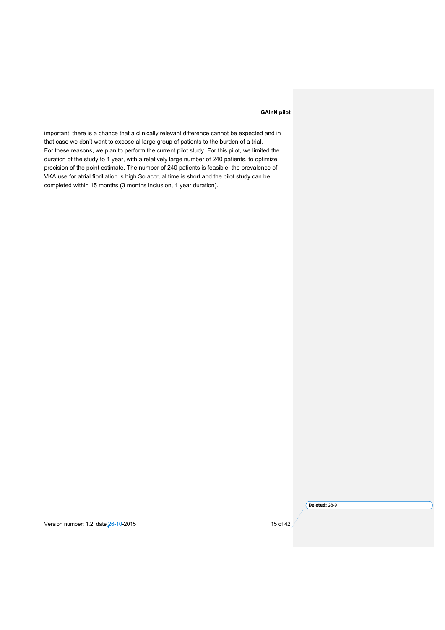important, there is a chance that a clinically relevant difference cannot be expected and in that case we don't want to expose al large group of patients to the burden of a trial. For these reasons, we plan to perform the current pilot study. For this pilot, we limited the duration of the study to 1 year, with a relatively large number of 240 patients, to optimize precision of the point estimate. The number of 240 patients is feasible, the prevalence of VKA use for atrial fibrillation is high.So accrual time is short and the pilot study can be completed within 15 months (3 months inclusion, 1 year duration).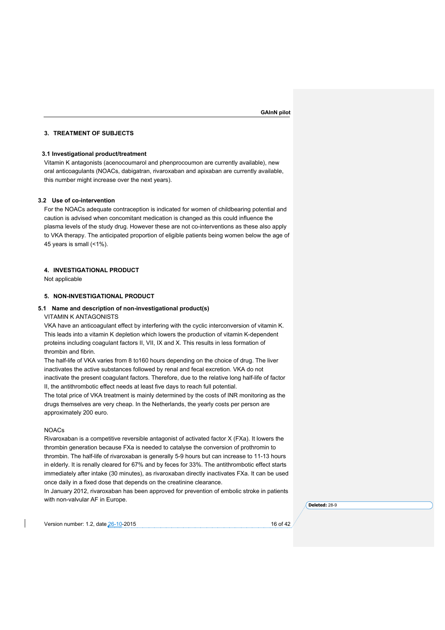#### **3. TREATMENT OF SUBJECTS**

# **3.1 Investigational product/treatment**

Vitamin K antagonists (acenocoumarol and phenprocoumon are currently available), new oral anticoagulants (NOACs, dabigatran, rivaroxaban and apixaban are currently available, this number might increase over the next years).

# **3.2 Use of co-intervention**

For the NOACs adequate contraception is indicated for women of childbearing potential and caution is advised when concomitant medication is changed as this could influence the plasma levels of the study drug. However these are not co-interventions as these also apply to VKA therapy. The anticipated proportion of eligible patients being women below the age of 45 years is small (<1%).

### **4. INVESTIGATIONAL PRODUCT**

Not applicable

# **5. NON-INVESTIGATIONAL PRODUCT**

#### **5.1 Name and description of non-investigational product(s)**

VITAMIN K ANTAGONISTS

VKA have an anticoagulant effect by interfering with the cyclic interconversion of vitamin K. This leads into a vitamin K depletion which lowers the production of vitamin K-dependent proteins including coagulant factors II, VII, IX and X. This results in less formation of thrombin and fibrin.

The half-life of VKA varies from 8 to160 hours depending on the choice of drug. The liver inactivates the active substances followed by renal and fecal excretion. VKA do not inactivate the present coagulant factors. Therefore, due to the relative long half-life of factor II, the antithrombotic effect needs at least five days to reach full potential.

The total price of VKA treatment is mainly determined by the costs of INR monitoring as the drugs themselves are very cheap. In the Netherlands, the yearly costs per person are approximately 200 euro.

# NOACs

Rivaroxaban is a competitive reversible antagonist of activated factor X (FXa). It lowers the thrombin generation because FXa is needed to catalyse the conversion of prothromin to thrombin. The half-life of rivaroxaban is generally 5-9 hours but can increase to 11-13 hours in elderly. It is renally cleared for 67% and by feces for 33%. The antithrombotic effect starts immediately after intake (30 minutes), as rivaroxaban directly inactivates FXa. It can be used once daily in a fixed dose that depends on the creatinine clearance.

In January 2012, rivaroxaban has been approved for prevention of embolic stroke in patients with non-valvular AF in Europe.

**Deleted:** 28-9

Version number: 1.2, date 26-10-2015 16 of 42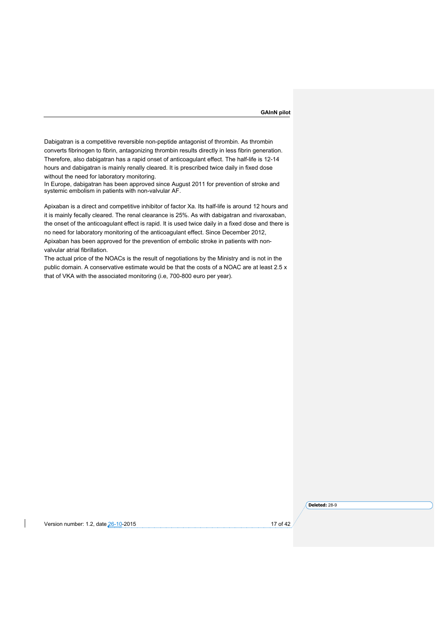Dabigatran is a competitive reversible non-peptide antagonist of thrombin. As thrombin converts fibrinogen to fibrin, antagonizing thrombin results directly in less fibrin generation. Therefore, also dabigatran has a rapid onset of anticoagulant effect. The half-life is 12-14 hours and dabigatran is mainly renally cleared. It is prescribed twice daily in fixed dose without the need for laboratory monitoring.

In Europe, dabigatran has been approved since August 2011 for prevention of stroke and systemic embolism in patients with non-valvular AF.

Apixaban is a direct and competitive inhibitor of factor Xa. Its half-life is around 12 hours and it is mainly fecally cleared. The renal clearance is 25%. As with dabigatran and rivaroxaban, the onset of the anticoagulant effect is rapid. It is used twice daily in a fixed dose and there is no need for laboratory monitoring of the anticoagulant effect. Since December 2012, Apixaban has been approved for the prevention of embolic stroke in patients with non-

valvular atrial fibrillation.

The actual price of the NOACs is the result of negotiations by the Ministry and is not in the public domain. A conservative estimate would be that the costs of a NOAC are at least 2.5 x that of VKA with the associated monitoring (i.e, 700-800 euro per year).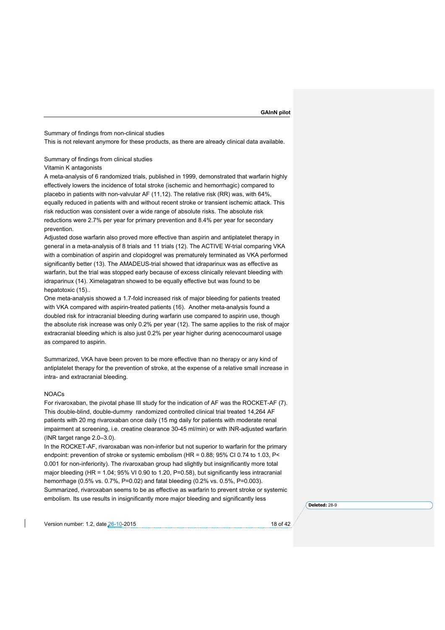Summary of findings from non-clinical studies

This is not relevant anymore for these products, as there are already clinical data available.

Summary of findings from clinical studies

Vitamin K antagonists

A meta-analysis of 6 randomized trials, published in 1999, demonstrated that warfarin highly effectively lowers the incidence of total stroke (ischemic and hemorrhagic) compared to placebo in patients with non-valvular AF (11,12). The relative risk (RR) was, with 64%, equally reduced in patients with and without recent stroke or transient ischemic attack. This risk reduction was consistent over a wide range of absolute risks. The absolute risk reductions were 2.7% per year for primary prevention and 8.4% per year for secondary prevention.

Adjusted dose warfarin also proved more effective than aspirin and antiplatelet therapy in general in a meta-analysis of 8 trials and 11 trials (12). The ACTIVE W-trial comparing VKA with a combination of aspirin and clopidogrel was prematurely terminated as VKA performed significantly better (13). The AMADEUS-trial showed that idraparinux was as effective as warfarin, but the trial was stopped early because of excess clinically relevant bleeding with idraparinux (14). Ximelagatran showed to be equally effective but was found to be hepatotoxic (15)..

One meta-analysis showed a 1.7-fold increased risk of major bleeding for patients treated with VKA compared with aspirin-treated patients (16). Another meta-analysis found a doubled risk for intracranial bleeding during warfarin use compared to aspirin use, though the absolute risk increase was only 0.2% per year (12). The same applies to the risk of major extracranial bleeding which is also just 0.2% per year higher during acenocoumarol usage as compared to aspirin.

Summarized, VKA have been proven to be more effective than no therapy or any kind of antiplatelet therapy for the prevention of stroke, at the expense of a relative small increase in intra- and extracranial bleeding.

#### NOACs

For rivaroxaban, the pivotal phase III study for the indication of AF was the ROCKET-AF (7). This double-blind, double-dummy randomized controlled clinical trial treated 14,264 AF patients with 20 mg rivaroxaban once daily (15 mg daily for patients with moderate renal impairment at screening, i.e. creatine clearance 30-45 ml/min) or with INR-adjusted warfarin (INR target range 2.0–3.0).

In the ROCKET-AF, rivaroxaban was non-inferior but not superior to warfarin for the primary endpoint: prevention of stroke or systemic embolism (HR = 0.88; 95% CI 0.74 to 1.03, P< 0.001 for non-inferiority). The rivaroxaban group had slightly but insignificantly more total major bleeding (HR = 1.04; 95% VI 0.90 to 1.20, P=0.58), but significantly less intracranial hemorrhage (0.5% vs. 0.7%, P=0.02) and fatal bleeding (0.2% vs. 0.5%, P=0.003). Summarized, rivaroxaban seems to be as effective as warfarin to prevent stroke or systemic embolism. Its use results in insignificantly more major bleeding and significantly less

Version number: 1.2, date 26-10-2015 18 of 42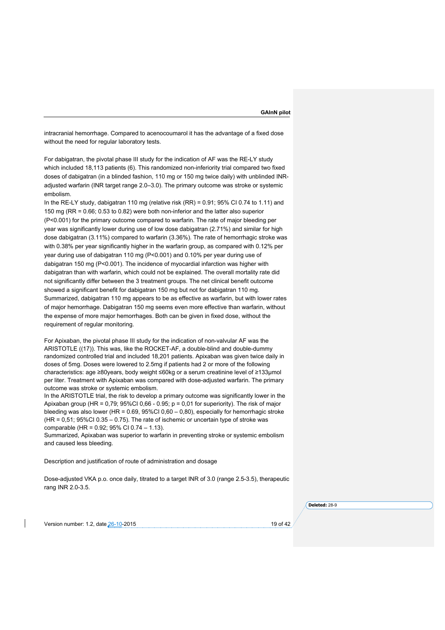intracranial hemorrhage. Compared to acenocoumarol it has the advantage of a fixed dose without the need for regular laboratory tests.

For dabigatran, the pivotal phase III study for the indication of AF was the RE-LY study which included 18,113 patients (6). This randomized non-inferiority trial compared two fixed doses of dabigatran (in a blinded fashion, 110 mg or 150 mg twice daily) with unblinded INRadjusted warfarin (INR target range 2.0–3.0). The primary outcome was stroke or systemic embolism.

In the RE-LY study, dabigatran 110 mg (relative risk (RR) = 0.91; 95% CI 0.74 to 1.11) and 150 mg (RR = 0.66; 0.53 to 0.82) were both non-inferior and the latter also superior (P<0.001) for the primary outcome compared to warfarin. The rate of major bleeding per year was significantly lower during use of low dose dabigatran (2.71%) and similar for high dose dabigatran (3.11%) compared to warfarin (3.36%). The rate of hemorrhagic stroke was with 0.38% per year significantly higher in the warfarin group, as compared with 0.12% per year during use of dabigatran 110 mg (P<0.001) and 0.10% per year during use of dabigatran 150 mg (P<0.001). The incidence of myocardial infarction was higher with dabigatran than with warfarin, which could not be explained. The overall mortality rate did not significantly differ between the 3 treatment groups. The net clinical benefit outcome showed a significant benefit for dabigatran 150 mg but not for dabigatran 110 mg. Summarized, dabigatran 110 mg appears to be as effective as warfarin, but with lower rates of major hemorrhage. Dabigatran 150 mg seems even more effective than warfarin, without the expense of more major hemorrhages. Both can be given in fixed dose, without the requirement of reqular monitoring.

For Apixaban, the pivotal phase III study for the indication of non-valvular AF was the ARISTOTLE ((17)). This was, like the ROCKET-AF, a double-blind and double-dummy randomized controlled trial and included 18,201 patients. Apixaban was given twice daily in doses of 5mg. Doses were lowered to 2.5mg if patients had 2 or more of the following characteristics: age ≥80years, body weight ≤60kg or a serum creatinine level of ≥133μmol per liter. Treatment with Apixaban was compared with dose-adjusted warfarin. The primary outcome was stroke or systemic embolism.

In the ARISTOTLE trial, the risk to develop a primary outcome was significantly lower in the Apixaban group (HR = 0,79; 95%CI 0,66 - 0.95; p = 0,01 for superiority). The risk of major bleeding was also lower (HR =  $0.69$ ,  $95\%$ CI 0,60 – 0,80), especially for hemorrhagic stroke  $(HR = 0.51; 95\% CI 0.35 - 0.75)$ . The rate of ischemic or uncertain type of stroke was comparable (HR = 0.92; 95% CI 0.74 – 1.13).

Summarized, Apixaban was superior to warfarin in preventing stroke or systemic embolism and caused less bleeding.

Description and justification of route of administration and dosage

Dose-adjusted VKA p.o. once daily, titrated to a target INR of 3.0 (range 2.5-3.5), therapeutic rang INR 2.0-3.5.

**Deleted:** 28-9

Version number: 1.2, date 26-10-2015 19 of 42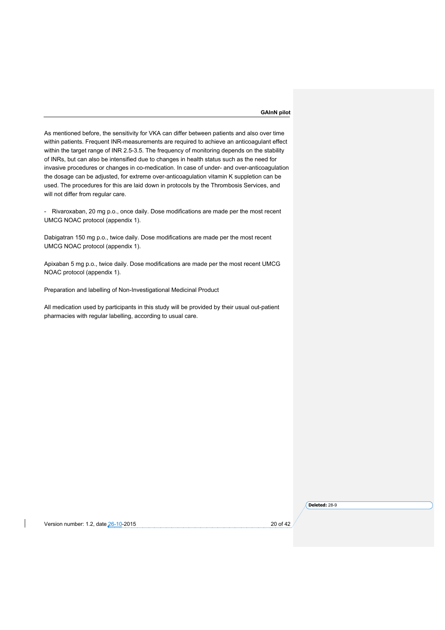As mentioned before, the sensitivity for VKA can differ between patients and also over time within patients. Frequent INR-measurements are required to achieve an anticoagulant effect within the target range of INR 2.5-3.5. The frequency of monitoring depends on the stability of INRs, but can also be intensified due to changes in health status such as the need for invasive procedures or changes in co-medication. In case of under- and over-anticoagulation the dosage can be adjusted, for extreme over-anticoagulation vitamin K suppletion can be used. The procedures for this are laid down in protocols by the Thrombosis Services, and will not differ from regular care.

- Rivaroxaban, 20 mg p.o., once daily. Dose modifications are made per the most recent UMCG NOAC protocol (appendix 1).

Dabigatran 150 mg p.o., twice daily. Dose modifications are made per the most recent UMCG NOAC protocol (appendix 1).

Apixaban 5 mg p.o., twice daily. Dose modifications are made per the most recent UMCG NOAC protocol (appendix 1).

Preparation and labelling of Non-Investigational Medicinal Product

All medication used by participants in this study will be provided by their usual out-patient pharmacies with regular labelling, according to usual care.

Version number: 1.2, date 26-10-2015 20 and 20 of 42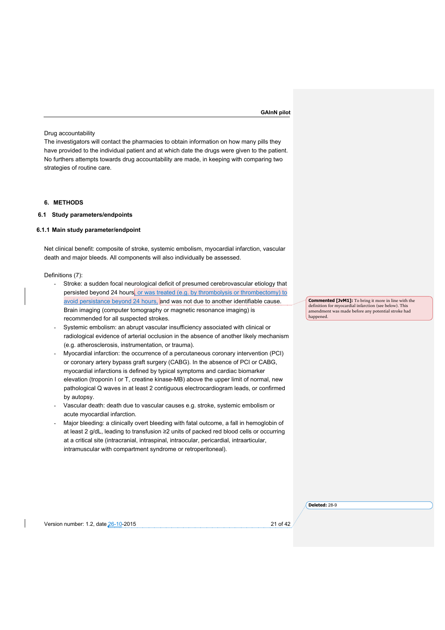### Drug accountability

The investigators will contact the pharmacies to obtain information on how many pills they have provided to the individual patient and at which date the drugs were given to the patient. No furthers attempts towards drug accountability are made, in keeping with comparing two strategies of routine care.

# **6. METHODS**

# **6.1 Study parameters/endpoints**

#### **6.1.1 Main study parameter/endpoint**

Net clinical benefit: composite of stroke, systemic embolism, myocardial infarction, vascular death and major bleeds. All components will also individually be assessed.

# Definitions (7):

- Stroke: a sudden focal neurological deficit of presumed cerebrovascular etiology that persisted beyond 24 hours, or was treated (e.g. by thrombolysis or thrombectomy) to avoid persistance beyond 24 hours, and was not due to another identifiable cause. Brain imaging (computer tomography or magnetic resonance imaging) is recommended for all suspected strokes.
- Systemic embolism: an abrupt vascular insufficiency associated with clinical or radiological evidence of arterial occlusion in the absence of another likely mechanism (e.g. atherosclerosis, instrumentation, or trauma).
- Myocardial infarction: the occurrence of a percutaneous coronary intervention (PCI) or coronary artery bypass graft surgery (CABG). In the absence of PCI or CABG, myocardial infarctions is defined by typical symptoms and cardiac biomarker elevation (troponin I or T, creatine kinase-MB) above the upper limit of normal, new pathological Q waves in at least 2 contiguous electrocardiogram leads, or confirmed by autopsy.
- Vascular death: death due to vascular causes e.g. stroke, systemic embolism or acute myocardial infarction.
- Major bleeding: a clinically overt bleeding with fatal outcome, a fall in hemoglobin of at least 2 g/dL, leading to transfusion ≥2 units of packed red blood cells or occurring at a critical site (intracranial, intraspinal, intraocular, pericardial, intraarticular, intramuscular with compartment syndrome or retroperitoneal).

**Commented [JvM1]:** To bring it more in line with the definition for myocardial infarction (see below). This amendment was made before any potential stroke had happened.

**Deleted:** 28-9

Version number: 1.2, date 26-10-2015 21 of 42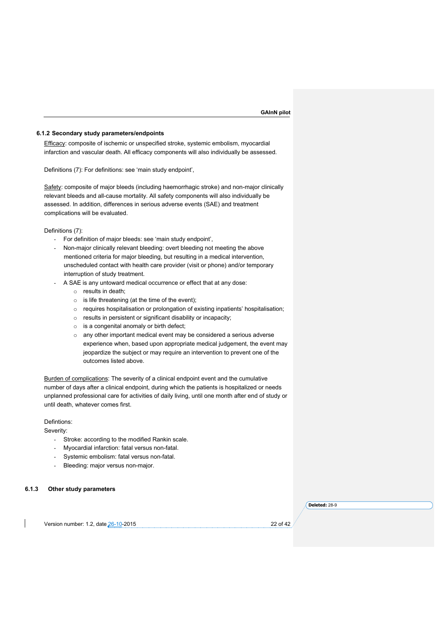#### **6.1.2 Secondary study parameters/endpoints**

Efficacy: composite of ischemic or unspecified stroke, systemic embolism, myocardial infarction and vascular death. All efficacy components will also individually be assessed.

Definitions (7): For definitions: see 'main study endpoint',

Safety: composite of major bleeds (including haemorrhagic stroke) and non-major clinically relevant bleeds and all-cause mortality. All safety components will also individually be assessed. In addition, differences in serious adverse events (SAE) and treatment complications will be evaluated.

Definitions (7):

- For definition of major bleeds: see 'main study endpoint',
- Non-major clinically relevant bleeding: overt bleeding not meeting the above mentioned criteria for major bleeding, but resulting in a medical intervention, unscheduled contact with health care provider (visit or phone) and/or temporary interruption of study treatment.
- A SAE is any untoward medical occurrence or effect that at any dose:
	- o results in death;
	- $\circ$  is life threatening (at the time of the event);
	- o requires hospitalisation or prolongation of existing inpatients' hospitalisation;
	- o results in persistent or significant disability or incapacity;
	- $\circ$  is a congenital anomaly or birth defect:
	- o any other important medical event may be considered a serious adverse experience when, based upon appropriate medical judgement, the event may jeopardize the subject or may require an intervention to prevent one of the outcomes listed above.

Burden of complications: The severity of a clinical endpoint event and the cumulative number of days after a clinical endpoint, during which the patients is hospitalized or needs unplanned professional care for activities of daily living, until one month after end of study or until death, whatever comes first.

#### Defintions:

Severity:

- Stroke: according to the modified Rankin scale.
- Myocardial infarction: fatal versus non-fatal.
- Systemic embolism: fatal versus non-fatal.
- Bleeding: major versus non-major.

**6.1.3 Other study parameters**

**Deleted:** 28-9

Version number: 1.2, date 26-10-2015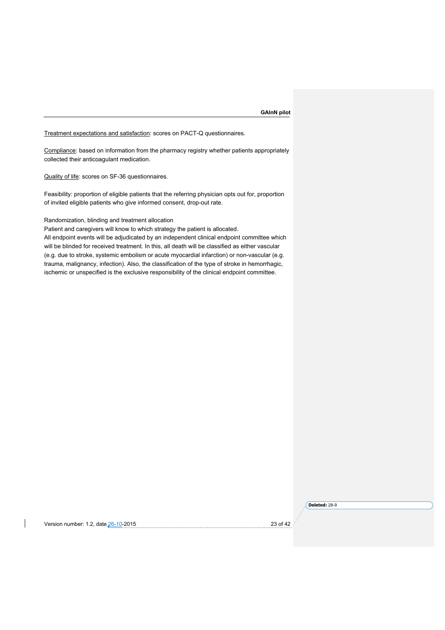Treatment expectations and satisfaction: scores on PACT-Q questionnaires.

Compliance: based on information from the pharmacy registry whether patients appropriately collected their anticoagulant medication.

Quality of life: scores on SF-36 questionnaires.

Feasibility: proportion of eligible patients that the referring physician opts out for, proportion of invited eligible patients who give informed consent, drop-out rate.

# Randomization, blinding and treatment allocation

Patient and caregivers will know to which strategy the patient is allocated.

All endpoint events will be adjudicated by an independent clinical endpoint committee which will be blinded for received treatment. In this, all death will be classified as either vascular (e.g. due to stroke, systemic embolism or acute myocardial infarction) or non-vascular (e.g. trauma, malignancy, infection). Also, the classification of the type of stroke in hemorrhagic, ischemic or unspecified is the exclusive responsibility of the clinical endpoint committee.

### Version number: 1.2, date 26-10-2015 23 of 42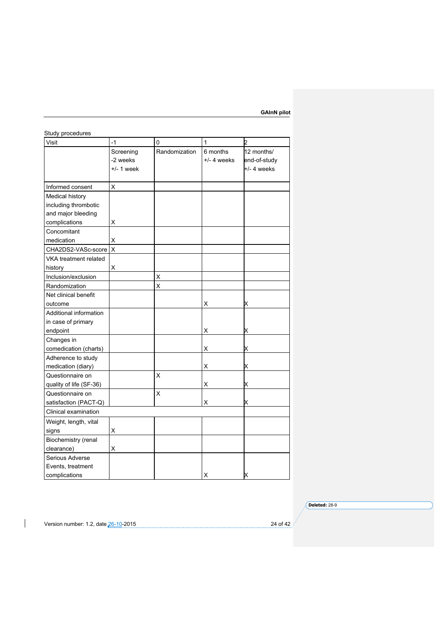| Study procedures        |                         |               |               |               |
|-------------------------|-------------------------|---------------|---------------|---------------|
| Visit                   | $-1$                    | 0             | $\mathbf{1}$  | 2             |
|                         | Screening               | Randomization | 6 months      | 12 months/    |
|                         | -2 weeks                |               | $+/-$ 4 weeks | end-of-study  |
|                         | $+/- 1$ week            |               |               | $+/- 4$ weeks |
|                         |                         |               |               |               |
| Informed consent        | X                       |               |               |               |
| Medical history         |                         |               |               |               |
| including thrombotic    |                         |               |               |               |
| and major bleeding      |                         |               |               |               |
| complications           | Χ                       |               |               |               |
| Concomitant             |                         |               |               |               |
| medication              | X                       |               |               |               |
| CHA2DS2-VASc-score      | $\overline{\mathsf{X}}$ |               |               |               |
| VKA treatment related   |                         |               |               |               |
| history                 | х                       |               |               |               |
| Inclusion/exclusion     |                         | X             |               |               |
| Randomization           |                         | X             |               |               |
| Net clinical benefit    |                         |               |               |               |
| outcome                 |                         |               | х             | x             |
| Additional information  |                         |               |               |               |
| in case of primary      |                         |               |               |               |
| endpoint                |                         |               | Χ             | x             |
| Changes in              |                         |               |               |               |
| comedication (charts)   |                         |               | Χ             | х             |
| Adherence to study      |                         |               |               |               |
| medication (diary)      |                         |               | Χ             | X             |
| Questionnaire on        |                         | X             |               |               |
| quality of life (SF-36) |                         |               | х             | x             |
| Questionnaire on        |                         | X             |               |               |
| satisfaction (PACT-Q)   |                         |               | х             | x             |
| Clinical examination    |                         |               |               |               |
| Weight, length, vital   |                         |               |               |               |
| signs                   | Χ                       |               |               |               |
| Biochemistry (renal     |                         |               |               |               |
| clearance)              | X                       |               |               |               |
| Serious Adverse         |                         |               |               |               |
| Events, treatment       |                         |               |               |               |
| complications           |                         |               | х             |               |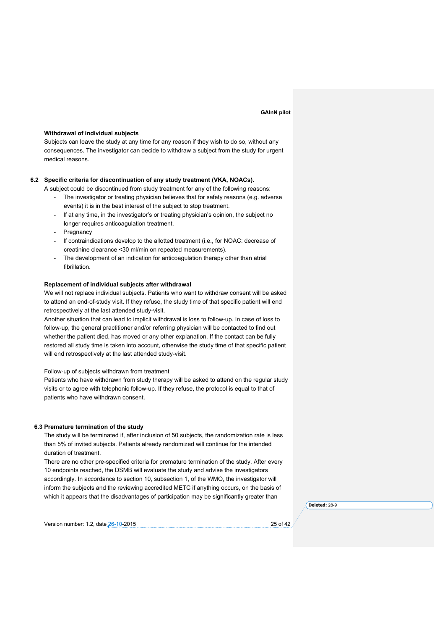#### **Withdrawal of individual subjects**

Subjects can leave the study at any time for any reason if they wish to do so, without any consequences. The investigator can decide to withdraw a subject from the study for urgent medical reasons.

#### **6.2 Specific criteria for discontinuation of any study treatment (VKA, NOACs).**

A subject could be discontinued from study treatment for any of the following reasons:

- The investigator or treating physician believes that for safety reasons (e.g. adverse events) it is in the best interest of the subject to stop treatment.
- If at any time, in the investigator's or treating physician's opinion, the subject no longer requires anticoagulation treatment.
- Pregnancy
- If contraindications develop to the allotted treatment (i.e., for NOAC: decrease of creatinine clearance <30 ml/min on repeated measurements).
- The development of an indication for anticoagulation therapy other than atrial fibrillation.

#### **Replacement of individual subjects after withdrawal**

We will not replace individual subjects. Patients who want to withdraw consent will be asked to attend an end-of-study visit. If they refuse, the study time of that specific patient will end retrospectively at the last attended study-visit.

Another situation that can lead to implicit withdrawal is loss to follow-up. In case of loss to follow-up, the general practitioner and/or referring physician will be contacted to find out whether the patient died, has moved or any other explanation. If the contact can be fully restored all study time is taken into account, otherwise the study time of that specific patient will end retrospectively at the last attended study-visit.

### Follow-up of subjects withdrawn from treatment

Patients who have withdrawn from study therapy will be asked to attend on the regular study visits or to agree with telephonic follow-up. If they refuse, the protocol is equal to that of patients who have withdrawn consent.

#### **6.3 Premature termination of the study**

The study will be terminated if, after inclusion of 50 subjects, the randomization rate is less than 5% of invited subjects. Patients already randomized will continue for the intended duration of treatment.

There are no other pre-specified criteria for premature termination of the study. After every 10 endpoints reached, the DSMB will evaluate the study and advise the investigators accordingly. In accordance to section 10, subsection 1, of the WMO, the investigator will inform the subjects and the reviewing accredited METC if anything occurs, on the basis of which it appears that the disadvantages of participation may be significantly greater than

Version number: 1.2, date 26-10-2015 25 of 42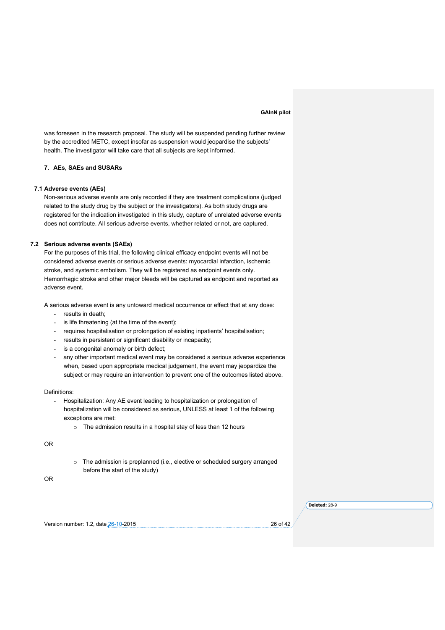was foreseen in the research proposal. The study will be suspended pending further review by the accredited METC, except insofar as suspension would jeopardise the subjects' health. The investigator will take care that all subjects are kept informed.

# **7. AEs, SAEs and SUSARs**

#### **7.1 Adverse events (AEs)**

Non-serious adverse events are only recorded if they are treatment complications (judged related to the study drug by the subject or the investigators). As both study drugs are registered for the indication investigated in this study, capture of unrelated adverse events does not contribute. All serious adverse events, whether related or not, are captured.

# **7.2 Serious adverse events (SAEs)**

For the purposes of this trial, the following clinical efficacy endpoint events will not be considered adverse events or serious adverse events: myocardial infarction, ischemic stroke, and systemic embolism. They will be registered as endpoint events only. Hemorrhagic stroke and other major bleeds will be captured as endpoint and reported as adverse event.

A serious adverse event is any untoward medical occurrence or effect that at any dose:

- results in death;
- is life threatening (at the time of the event);
- requires hospitalisation or prolongation of existing inpatients' hospitalisation;
- results in persistent or significant disability or incapacity;
- is a congenital anomaly or birth defect;
- any other important medical event may be considered a serious adverse experience when, based upon appropriate medical judgement, the event may jeopardize the subject or may require an intervention to prevent one of the outcomes listed above.

#### Definitions:

- Hospitalization: Any AE event leading to hospitalization or prolongation of hospitalization will be considered as serious, UNLESS at least 1 of the following exceptions are met:
	- o The admission results in a hospital stay of less than 12 hours

OR

o The admission is preplanned (i.e., elective or scheduled surgery arranged before the start of the study)

OR

Version number: 1.2, date 26-10-2015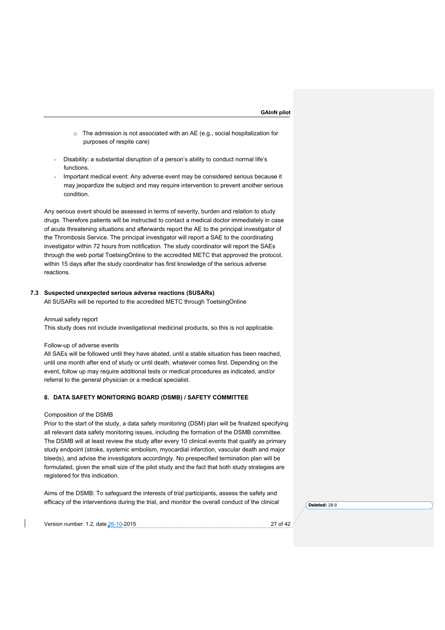- o The admission is not associated with an AE (e.g., social hospitalization for purposes of respite care)
- Disability: a substantial disruption of a person's ability to conduct normal life's functions.
- Important medical event: Any adverse event may be considered serious because it may jeopardize the subject and may require intervention to prevent another serious condition.

Any serious event should be assessed in terms of severity, burden and relation to study drugs. Therefore patients will be instructed to contact a medical doctor immediately in case of acute threatening situations and afterwards report the AE to the principal investigator of the Thrombosis Service. The principal investigator will report a SAE to the coordinating investigator within 72 hours from notification. The study coordinator will report the SAEs through the web portal ToetsingOnline to the accredited METC that approved the protocol, within 15 days after the study coordinator has first knowledge of the serious adverse reactions.

#### **7.3 Suspected unexpected serious adverse reactions (SUSARs)**

All SUSARs will be reported to the accredited METC through ToetsingOnline

#### Annual safety report

This study does not include investigational medicinal products, so this is not applicable.

#### Follow-up of adverse events

All SAEs will be followed until they have abated, until a stable situation has been reached, until one month after end of study or until death, whatever comes first. Depending on the event, follow up may require additional tests or medical procedures as indicated, and/or referral to the general physician or a medical specialist.

# **8. DATA SAFETY MONITORING BOARD (DSMB) / SAFETY COMMITTEE**

#### Composition of the DSMB

Prior to the start of the study, a data safety monitoring (DSM) plan will be finalized specifying all relevant data safety monitoring issues, including the formation of the DSMB committee. The DSMB will at least review the study after every 10 clinical events that qualify as primary study endpoint (stroke, systemic embolism, myocardial infarction, vascular death and major bleeds), and advise the investigators accordingly. No prespecified termination plan will be formulated, given the small size of the pilot study and the fact that both study strategies are registered for this indication.

Aims of the DSMB: To safeguard the interests of trial participants, assess the safety and efficacy of the interventions during the trial, and monitor the overall conduct of the clinical

**Deleted:** 28-9

Version number: 1.2, date 26-10-2015 27 of 42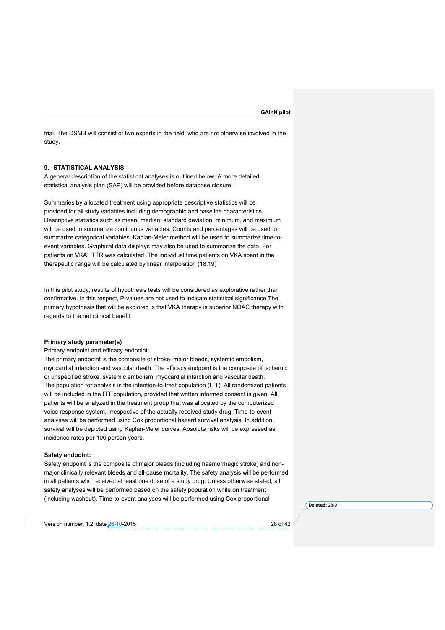trial. The DSMB will consist of two experts in the field, who are not otherwise involved in the study.

# **9. STATISTICAL ANALYSIS**

A general description of the statistical analyses is outlined below. A more detailed statistical analysis plan (SAP) will be provided before database closure.

Summaries by allocated treatment using appropriate descriptive statistics will be provided for all study variables including demographic and baseline characteristics. Descriptive statistics such as mean, median, standard deviation, minimum, and maximum will be used to summarize continuous variables. Counts and percentages will be used to summarize categorical variables. Kaplan-Meier method will be used to summarize time-toevent variables. Graphical data displays may also be used to summarize the data. For patients on VKA, iTTR was calculated .The individual time patients on VKA spent in the therapeutic range will be calculated by linear interpolation (18,19) .

In this pilot study, results of hypothesis tests will be considered as explorative rather than confirmative. In this respect, P-values are not used to indicate statistical significance The primary hypothesis that will be explored is that VKA therapy is superior NOAC therapy with regards to the net clinical benefit.

# **Primary study parameter(s)**

#### Primary endpoint and efficacy endpoint:

The primary endpoint is the composite of stroke, major bleeds, systemic embolism, myocardial infarction and vascular death. The efficacy endpoint is the composite of ischemic or unspecified stroke, systemic embolism, myocardial infarction and vascular death. The population for analysis is the intention-to-treat population (ITT). All randomized patients will be included in the ITT population, provided that written informed consent is given. All patients will be analyzed in the treatment group that was allocated by the computerized voice response system, irrespective of the actually received study drug. Time-to-event analyses will be performed using Cox proportional hazard survival analysis. In addition, survival will be depicted using Kaplan-Meier curves. Absolute risks will be expressed as incidence rates per 100 person years.

#### **Safety endpoint:**

Safety endpoint is the composite of major bleeds (including haemorrhagic stroke) and nonmajor clinically relevant bleeds and all-cause mortality. The safety analysis will be performed in all patients who received at least one dose of a study drug. Unless otherwise stated, all safety analyses will be performed based on the safety population while on treatment (including washout). Time-to-event analyses will be performed using Cox proportional

Version number: 1.2, date 26-10-2015 28 of 42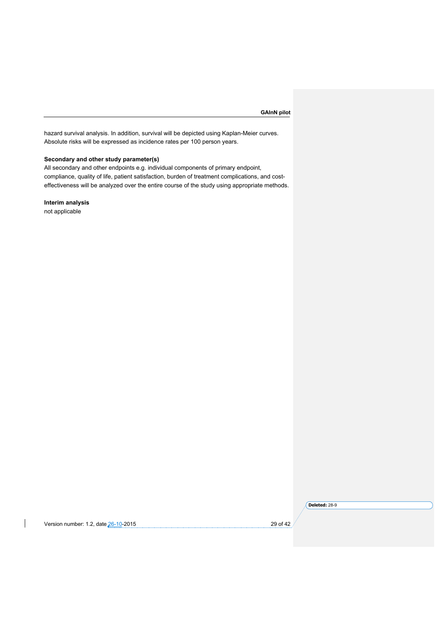hazard survival analysis. In addition, survival will be depicted using Kaplan-Meier curves. Absolute risks will be expressed as incidence rates per 100 person years.

# **Secondary and other study parameter(s)**

All secondary and other endpoints e.g. individual components of primary endpoint, compliance, quality of life, patient satisfaction, burden of treatment complications, and costeffectiveness will be analyzed over the entire course of the study using appropriate methods.

# **Interim analysis**

not applicable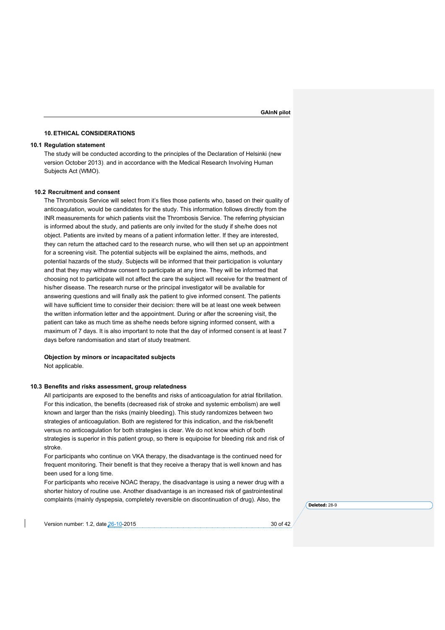### **10.ETHICAL CONSIDERATIONS**

### **10.1 Regulation statement**

The study will be conducted according to the principles of the Declaration of Helsinki (new version October 2013). and in accordance with the Medical Research Involving Human Subjects Act (WMO).

# **10.2 Recruitment and consent**

The Thrombosis Service will select from it's files those patients who, based on their quality of anticoagulation, would be candidates for the study. This information follows directly from the INR measurements for which patients visit the Thrombosis Service. The referring physician is informed about the study, and patients are only invited for the study if she/he does not object. Patients are invited by means of a patient information letter. If they are interested, they can return the attached card to the research nurse, who will then set up an appointment for a screening visit. The potential subjects will be explained the aims, methods, and potential hazards of the study. Subjects will be informed that their participation is voluntary and that they may withdraw consent to participate at any time. They will be informed that choosing not to participate will not affect the care the subject will receive for the treatment of his/her disease. The research nurse or the principal investigator will be available for answering questions and will finally ask the patient to give informed consent. The patients will have sufficient time to consider their decision: there will be at least one week between the written information letter and the appointment. During or after the screening visit, the patient can take as much time as she/he needs before signing informed consent, with a maximum of 7 days. It is also important to note that the day of informed consent is at least 7 days before randomisation and start of study treatment.

# **Objection by minors or incapacitated subjects** Not applicable.

#### **10.3 Benefits and risks assessment, group relatedness**

All participants are exposed to the benefits and risks of anticoagulation for atrial fibrillation. For this indication, the benefits (decreased risk of stroke and systemic embolism) are well known and larger than the risks (mainly bleeding). This study randomizes between two strategies of anticoagulation. Both are registered for this indication, and the risk/benefit versus no anticoagulation for both strategies is clear. We do not know which of both strategies is superior in this patient group, so there is equipoise for bleeding risk and risk of stroke.

For participants who continue on VKA therapy, the disadvantage is the continued need for frequent monitoring. Their benefit is that they receive a therapy that is well known and has been used for a long time.

For participants who receive NOAC therapy, the disadvantage is using a newer drug with a shorter history of routine use. Another disadvantage is an increased risk of gastrointestinal complaints (mainly dyspepsia, completely reversible on discontinuation of drug). Also, the

**Deleted:** 28-9

Version number: 1.2, date 26-10-2015 30 of 42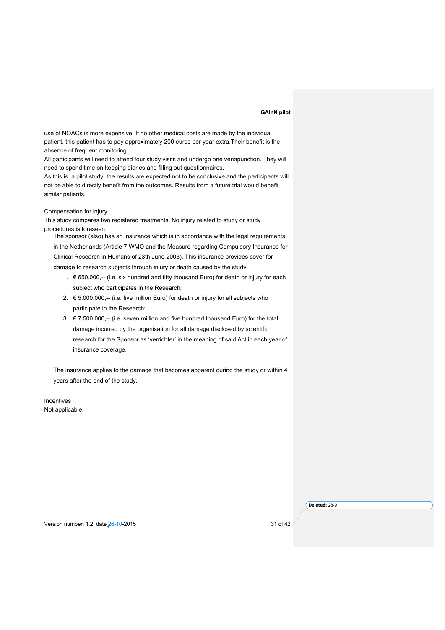use of NOACs is more expensive. If no other medical costs are made by the individual patient, this patient has to pay approximately 200 euros per year extra.Their benefit is the absence of frequent monitoring.

All participants will need to attend four study visits and undergo one venapunction. They will need to spend time on keeping diaries and filling out questionnaires.

As this is a pilot study, the results are expected not to be conclusive and the participants will not be able to directly benefit from the outcomes. Results from a future trial would benefit similar patients.

### Compensation for injury

This study compares two registered treatments. No injury related to study or study procedures is foreseen.

The sponsor (also) has an insurance which is in accordance with the legal requirements in the Netherlands (Article 7 WMO and the Measure regarding Compulsory Insurance for Clinical Research in Humans of 23th June 2003). This insurance provides cover for damage to research subjects through injury or death caused by the study.

- 1. € 650.000,-- (i.e. six hundred and fifty thousand Euro) for death or injury for each subject who participates in the Research;
- 2.  $€ 5.000.000, -$  (i.e. five million Euro) for death or injury for all subjects who participate in the Research;
- 3. € 7.500.000,-- (i.e. seven million and five hundred thousand Euro) for the total damage incurred by the organisation for all damage disclosed by scientific research for the Sponsor as 'verrichter' in the meaning of said Act in each year of insurance coverage.

The insurance applies to the damage that becomes apparent during the study or within 4 years after the end of the study.

Incentives Not applicable.

Version number: 1.2, date 26-10-2015 31 of 42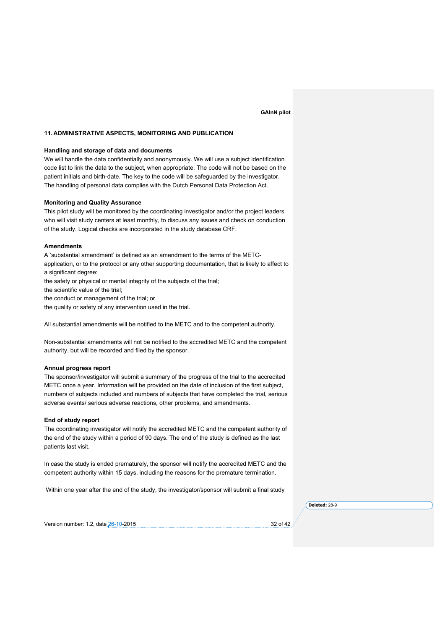### **11. ADMINISTRATIVE ASPECTS, MONITORING AND PUBLICATION**

#### **Handling and storage of data and documents**

We will handle the data confidentially and anonymously. We will use a subject identification code list to link the data to the subject, when appropriate. The code will not be based on the patient initials and birth-date. The key to the code will be safeguarded by the investigator. The handling of personal data complies with the Dutch Personal Data Protection Act.

#### **Monitoring and Quality Assurance**

This pilot study will be monitored by the coordinating investigator and/or the project leaders who will visit study centers at least monthly, to discuss any issues and check on conduction of the study. Logical checks are incorporated in the study database CRF.

# **Amendments**

A 'substantial amendment' is defined as an amendment to the terms of the METCapplication, or to the protocol or any other supporting documentation, that is likely to affect to a significant degree:

the safety or physical or mental integrity of the subjects of the trial;

the scientific value of the trial;

the conduct or management of the trial; or

the quality or safety of any intervention used in the trial.

All substantial amendments will be notified to the METC and to the competent authority.

Non-substantial amendments will not be notified to the accredited METC and the competent authority, but will be recorded and filed by the sponsor.

### **Annual progress report**

The sponsor/investigator will submit a summary of the progress of the trial to the accredited METC once a year. Information will be provided on the date of inclusion of the first subject, numbers of subjects included and numbers of subjects that have completed the trial, serious adverse events/ serious adverse reactions, other problems, and amendments.

### **End of study report**

The coordinating investigator will notify the accredited METC and the competent authority of the end of the study within a period of 90 days. The end of the study is defined as the last patients last visit.

In case the study is ended prematurely, the sponsor will notify the accredited METC and the competent authority within 15 days, including the reasons for the premature termination.

Within one year after the end of the study, the investigator/sponsor will submit a final study

**Deleted:** 28-9

Version number: 1.2, date 26-10-2015 32 of 42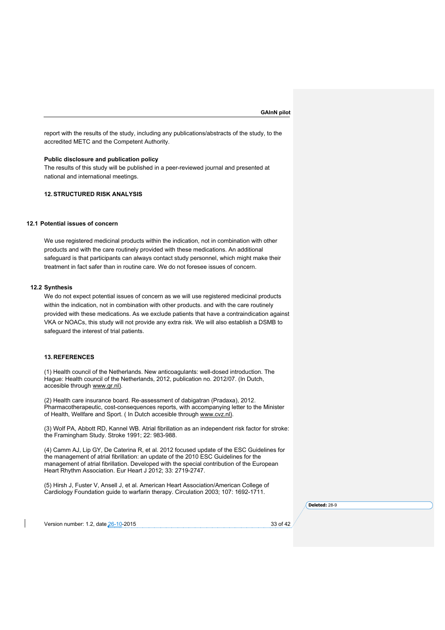report with the results of the study, including any publications/abstracts of the study, to the accredited METC and the Competent Authority.

# **Public disclosure and publication policy**

The results of this study will be published in a peer-reviewed journal and presented at national and international meetings.

# **12.STRUCTURED RISK ANALYSIS**

# **12.1 Potential issues of concern**

We use registered medicinal products within the indication, not in combination with other products and with the care routinely provided with these medications. An additional safeguard is that participants can always contact study personnel, which might make their treatment in fact safer than in routine care. We do not foresee issues of concern.

#### **12.2 Synthesis**

We do not expect potential issues of concern as we will use registered medicinal products within the indication, not in combination with other products. and with the care routinely provided with these medications. As we exclude patients that have a contraindication against VKA or NOACs, this study will not provide any extra risk. We will also establish a DSMB to safeguard the interest of trial patients.

# **13. REFERENCES**

(1) Health council of the Netherlands. New anticoagulants: well-dosed introduction. The Hague: Health council of the Netherlands, 2012, publication no. 2012/07. (In Dutch, accesible through www.gr.nl).

(2) Health care insurance board. Re-assessment of dabigatran (Pradaxa), 2012. Pharmacotherapeutic, cost-consequences reports, with accompanying letter to the Minister of Health, Wellfare and Sport. ( In Dutch accesible through www.cvz.nl).

(3) Wolf PA, Abbott RD, Kannel WB. Atrial fibrillation as an independent risk factor for stroke: the Framingham Study. Stroke 1991; 22: 983-988.

(4) Camm AJ, Lip GY, De Caterina R, et al. 2012 focused update of the ESC Guidelines for the management of atrial fibrillation: an update of the 2010 ESC Guidelines for the management of atrial fibrillation. Developed with the special contribution of the European Heart Rhythm Association. Eur Heart J 2012; 33: 2719-2747.

(5) Hirsh J, Fuster V, Ansell J, et al. American Heart Association/American College of Cardiology Foundation guide to warfarin therapy. Circulation 2003; 107: 1692-1711.

**Deleted:** 28-9

Version number: 1.2, date 26-10-2015 33 of 42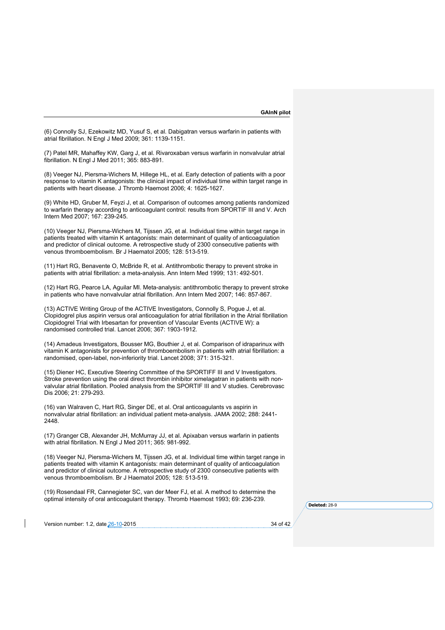(6) Connolly SJ, Ezekowitz MD, Yusuf S, et al. Dabigatran versus warfarin in patients with atrial fibrillation. N Engl J Med 2009; 361: 1139-1151.

(7) Patel MR, Mahaffey KW, Garg J, et al. Rivaroxaban versus warfarin in nonvalvular atrial fibrillation. N Engl J Med 2011; 365: 883-891.

(8) Veeger NJ, Piersma-Wichers M, Hillege HL, et al. Early detection of patients with a poor response to vitamin K antagonists: the clinical impact of individual time within target range in patients with heart disease. J Thromb Haemost 2006; 4: 1625-1627.

(9) White HD, Gruber M, Feyzi J, et al. Comparison of outcomes among patients randomized to warfarin therapy according to anticoagulant control: results from SPORTIF III and V. Arch Intern Med 2007; 167: 239-245.

(10) Veeger NJ, Piersma-Wichers M, Tijssen JG, et al. Individual time within target range in patients treated with vitamin K antagonists: main determinant of quality of anticoagulation and predictor of clinical outcome. A retrospective study of 2300 consecutive patients with venous thromboembolism. Br J Haematol 2005; 128: 513-519.

(11) Hart RG, Benavente O, McBride R, et al. Antithrombotic therapy to prevent stroke in patients with atrial fibrillation: a meta-analysis. Ann Intern Med 1999; 131: 492-501.

(12) Hart RG, Pearce LA, Aguilar MI. Meta-analysis: antithrombotic therapy to prevent stroke in patients who have nonvalvular atrial fibrillation. Ann Intern Med 2007; 146: 857-867.

(13) ACTIVE Writing Group of the ACTIVE Investigators, Connolly S, Pogue J, et al. Clopidogrel plus aspirin versus oral anticoagulation for atrial fibrillation in the Atrial fibrillation Clopidogrel Trial with Irbesartan for prevention of Vascular Events (ACTIVE W): a randomised controlled trial. Lancet 2006; 367: 1903-1912.

(14) Amadeus Investigators, Bousser MG, Bouthier J, et al. Comparison of idraparinux with vitamin K antagonists for prevention of thromboembolism in patients with atrial fibrillation: a randomised, open-label, non-inferiority trial. Lancet 2008; 371: 315-321.

(15) Diener HC, Executive Steering Committee of the SPORTIFF III and V Investigators. Stroke prevention using the oral direct thrombin inhibitor ximelagatran in patients with nonvalvular atrial fibrillation. Pooled analysis from the SPORTIF III and V studies. Cerebrovasc Dis 2006; 21: 279-293.

(16) van Walraven C, Hart RG, Singer DE, et al. Oral anticoagulants vs aspirin in nonvalvular atrial fibrillation: an individual patient meta-analysis. JAMA 2002; 288: 2441- 2448.

(17) Granger CB, Alexander JH, McMurray JJ, et al. Apixaban versus warfarin in patients with atrial fibrillation. N Engl J Med 2011; 365: 981-992.

(18) Veeger NJ, Piersma-Wichers M, Tijssen JG, et al. Individual time within target range in patients treated with vitamin K antagonists: main determinant of quality of anticoagulation and predictor of clinical outcome. A retrospective study of 2300 consecutive patients with venous thromboembolism. Br J Haematol 2005; 128: 513-519.

(19) Rosendaal FR, Cannegieter SC, van der Meer FJ, et al. A method to determine the optimal intensity of oral anticoagulant therapy. Thromb Haemost 1993; 69: 236-239.

**Deleted:** 28-9

Version number: 1.2, date 26-10-2015 34 of 42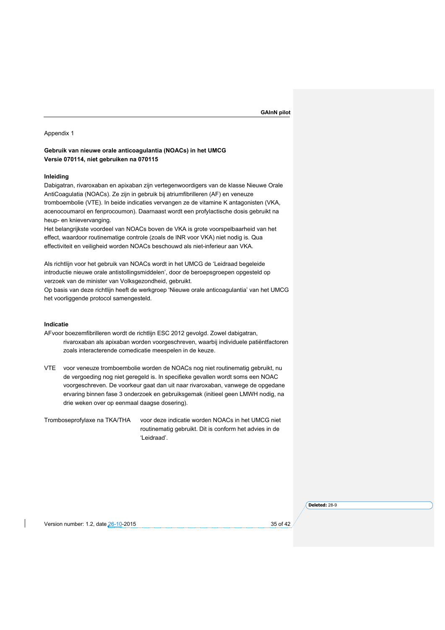#### Appendix 1

# **Gebruik van nieuwe orale anticoagulantia (NOACs) in het UMCG Versie 070114, niet gebruiken na 070115**

# **Inleiding**

Dabigatran, rivaroxaban en apixaban zijn vertegenwoordigers van de klasse Nieuwe Orale AntiCoagulatia (NOACs). Ze zijn in gebruik bij atriumfibrilleren (AF) en veneuze tromboembolie (VTE). In beide indicaties vervangen ze de vitamine K antagonisten (VKA, acenocoumarol en fenprocoumon). Daarnaast wordt een profylactische dosis gebruikt na heup- en knievervanging.

Het belangrijkste voordeel van NOACs boven de VKA is grote voorspelbaarheid van het effect, waardoor routinematige controle (zoals de INR voor VKA) niet nodig is. Qua effectiviteit en veiligheid worden NOACs beschouwd als niet-inferieur aan VKA.

Als richtlijn voor het gebruik van NOACs wordt in het UMCG de 'Leidraad begeleide introductie nieuwe orale antistollingsmiddelen', door de beroepsgroepen opgesteld op verzoek van de minister van Volksgezondheid, gebruikt.

Op basis van deze richtlijn heeft de werkgroep 'Nieuwe orale anticoagulantia' van het UMCG het voorliggende protocol samengesteld.

# **Indicatie**

- AFvoor boezemfibrilleren wordt de richtlijn ESC 2012 gevolgd. Zowel dabigatran, rivaroxaban als apixaban worden voorgeschreven, waarbij individuele patiëntfactoren zoals interacterende comedicatie meespelen in de keuze.
- VTE voor veneuze tromboembolie worden de NOACs nog niet routinematig gebruikt, nu de vergoeding nog niet geregeld is. In specifieke gevallen wordt soms een NOAC voorgeschreven. De voorkeur gaat dan uit naar rivaroxaban, vanwege de opgedane ervaring binnen fase 3 onderzoek en gebruiksgemak (initieel geen LMWH nodig, na drie weken over op eenmaal daagse dosering).

Tromboseprofylaxe na TKA/THA voor deze indicatie worden NOACs in het UMCG niet routinematig gebruikt. Dit is conform het advies in de 'Leidraad'.

Version number: 1.2, date 26-10-2015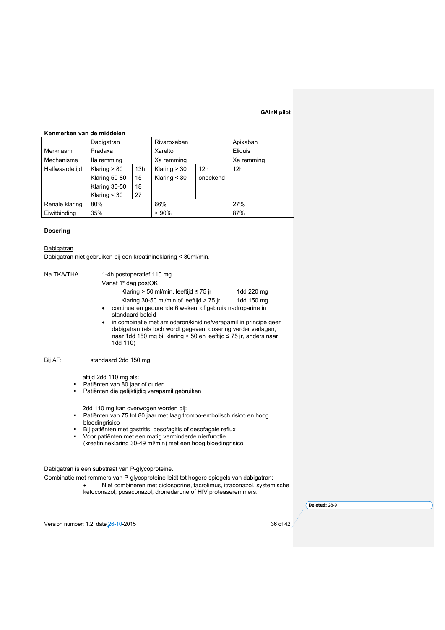# **Kenmerken van de middelen**

|                | Dabigatran     |     | Rivaroxaban    |                 | Apixaban        |
|----------------|----------------|-----|----------------|-----------------|-----------------|
| Merknaam       | Pradaxa        |     | Xarelto        |                 | Eliquis         |
| Mechanisme     | Ila remming    |     | Xa remming     |                 | Xa remming      |
| Halfwaardetijd | Klaring $> 80$ | 13h | Klaring $> 30$ | 12 <sub>h</sub> | 12 <sub>h</sub> |
|                | Klaring 50-80  | 15  | Klaring $<$ 30 | onbekend        |                 |
|                | Klaring 30-50  | 18  |                |                 |                 |
|                | Klaring $<$ 30 | 27  |                |                 |                 |
| Renale klaring | 80%            |     | 66%            |                 | 27%             |
| Eiwitbinding   | 35%            |     | >90%           |                 | 87%             |

# **Dosering**

**Dabigatran** Dabigatran niet gebruiken bij een kreatinineklaring < 30ml/min.

| Na TKA/THA<br>1-4h postoperatief 110 mg<br>Vanaf 1 <sup>e</sup> dag postOK<br>Klaring $> 50$ ml/min, leeftijd $\leq 75$ jr<br>1dd 220 mg<br>Klaring 30-50 ml/min of leeftijd > 75 jr<br>1dd 150 mg<br>continueren gedurende 6 weken, cf gebruik nadroparine in<br>٠<br>standaard beleid<br>in combinatie met amiodaron/kinidine/verapamil in principe geen<br>٠<br>dabigatran (als toch wordt gegeven: dosering verder verlagen,<br>naar 1dd 150 mg bij klaring > 50 en leeftijd ≤ 75 jr, anders naar<br>1dd 110) |                           |
|-------------------------------------------------------------------------------------------------------------------------------------------------------------------------------------------------------------------------------------------------------------------------------------------------------------------------------------------------------------------------------------------------------------------------------------------------------------------------------------------------------------------|---------------------------|
| Bij AF:<br>standaard 2dd 150 mg                                                                                                                                                                                                                                                                                                                                                                                                                                                                                   |                           |
| altijd 2dd 110 mg als:<br>Patiënten van 80 jaar of ouder<br>٠<br>Patiënten die gelijktijdig verapamil gebruiken<br>٠                                                                                                                                                                                                                                                                                                                                                                                              |                           |
| 2dd 110 mg kan overwogen worden bij:<br>Patiënten van 75 tot 80 jaar met laag trombo-embolisch risico en hoog<br>٠<br>bloedingrisico<br>Bij patiënten met gastritis, oesofagitis of oesofagale reflux<br>٠<br>Voor patiënten met een matig verminderde nierfunctie<br>٠<br>(kreatinineklaring 30-49 ml/min) met een hoog bloedingrisico                                                                                                                                                                           |                           |
| Dabigatran is een substraat van P-glycoproteine.<br>Combinatie met remmers van P-glycoproteine leidt tot hogere spiegels van dabigatran:<br>Niet combineren met ciclosporine, tacrolimus, itraconazol, systemische<br>ketoconazol, posaconazol, dronedarone of HIV proteaseremmers.                                                                                                                                                                                                                               |                           |
| Version number: 1.2, date 26-10-2015                                                                                                                                                                                                                                                                                                                                                                                                                                                                              | Deleted: 28-9<br>36 of 42 |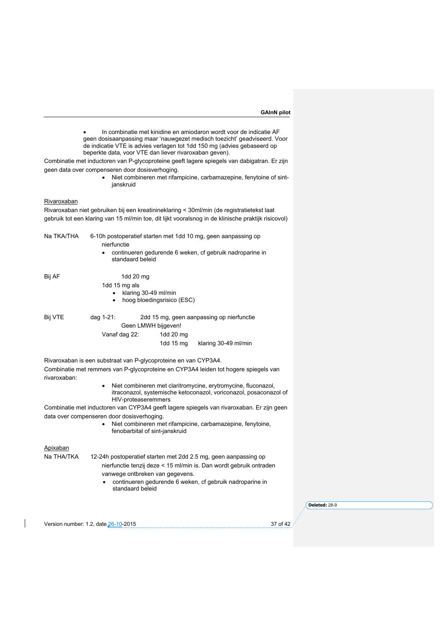• In combinatie met kinidine en amiodaron wordt voor de indicatie AF geen dosisaanpassing maar 'nauwgezet medisch toezicht' geadviseerd. Voor de indicatie VTE is advies verlagen tot 1dd 150 mg (advies gebaseerd op beperkte data, voor VTE dan liever rivaroxaban geven).

Combinatie met inductoren van P-glycoproteine geeft lagere spiegels van dabigatran. Er zijn geen data over compenseren door dosisverhoging.

> • Niet combineren met rifampicine, carbamazepine, fenytoine of sintjanskruid

### Rivaroxaban

Rivaroxaban niet gebruiken bij een kreatinineklaring < 30ml/min (de registratietekst laat gebruik tot een klaring van 15 ml/min toe, dit lijkt vooralsnog in de klinische praktijk risicovol)

Na TKA/THA 6-10h postoperatief starten met 1dd 10 mg, geen aanpassing op

| NA INAVIHA   | nierfunctie                                                     |                     |                            | 6-Tun postoperatier starten met Tud Tu mg, geen aanpassing op                       |
|--------------|-----------------------------------------------------------------|---------------------|----------------------------|-------------------------------------------------------------------------------------|
|              |                                                                 | standaard beleid    |                            | continueren gedurende 6 weken, cf gebruik nadroparine in                            |
| Bij AF       |                                                                 | 1dd $20 \text{ mg}$ |                            |                                                                                     |
|              | 1dd 15 mg als                                                   |                     |                            |                                                                                     |
|              | ٠                                                               |                     | klaring 30-49 ml/min       |                                                                                     |
|              | $\bullet$                                                       |                     | hoog bloedingsrisico (ESC) |                                                                                     |
| Bij VTE      | dag 1-21:                                                       |                     |                            | 2dd 15 mg, geen aanpassing op nierfunctie                                           |
|              |                                                                 |                     | Geen LMWH bijgeven!        |                                                                                     |
|              | Vanaf dag 22:                                                   |                     | 1dd $20 \text{ mg}$        |                                                                                     |
|              |                                                                 |                     | 1dd 15 mg                  | klaring 30-49 ml/min                                                                |
|              | Rivaroxaban is een substraat van P-glycoproteine en van CYP3A4. |                     |                            |                                                                                     |
| rivaroxaban: |                                                                 |                     |                            | Combinatie met remmers van P-glycoproteine en CYP3A4 leiden tot hogere spiegels van |

• Niet combineren met claritromycine, erytromycine, fluconazol, itraconazol, systemische ketoconazol, voriconazol, posaconazol of HIV-proteaseremmers

Combinatie met inductoren van CYP3A4 geeft lagere spiegels van rivaroxaban. Er zijn geen data over compenseren door dosisverhoging.

> • Niet combineren met rifampicine, carbamazepine, fenytoine, fenobarbital of sint-janskruid

# Apixaban

Na THA/TKA 12-24h postoperatief starten met 2dd 2.5 mg, geen aanpassing op nierfunctie tenzij deze < 15 ml/min is. Dan wordt gebruik ontraden

- vanwege ontbreken van gegevens.
- continueren gedurende 6 weken, cf gebruik nadroparine in standaard beleid

Version number: 1.2, date 26-10-2015 37 of 42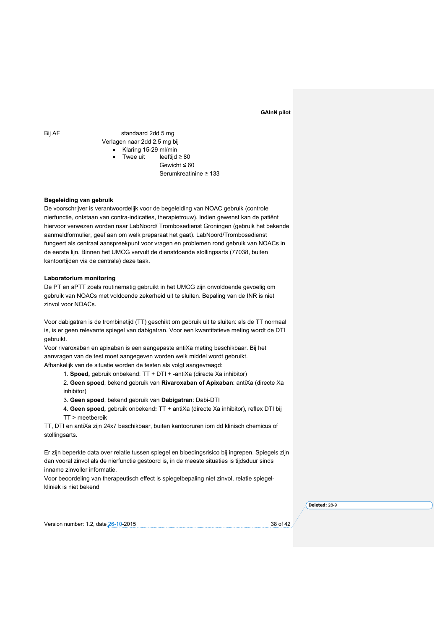Bij AF standaard 2dd 5 mg Verlagen naar 2dd 2.5 mg bij • Klaring 15-29 ml/min Twee uit leeftijd  $\geq 80$ Gewicht ≤ 60 Serumkreatinine ≥ 133

# **Begeleiding van gebruik**

De voorschrijver is verantwoordelijk voor de begeleiding van NOAC gebruik (controle nierfunctie, ontstaan van contra-indicaties, therapietrouw). Indien gewenst kan de patiënt hiervoor verwezen worden naar LabNoord/ Trombosedienst Groningen (gebruik het bekende aanmeldformulier, geef aan om welk preparaat het gaat). LabNoord/Trombosedienst fungeert als centraal aanspreekpunt voor vragen en problemen rond gebruik van NOACs in de eerste lijn. Binnen het UMCG vervult de dienstdoende stollingsarts (77038, buiten kantoortijden via de centrale) deze taak.

#### **Laboratorium monitoring**

De PT en aPTT zoals routinematig gebruikt in het UMCG zijn onvoldoende gevoelig om gebruik van NOACs met voldoende zekerheid uit te sluiten. Bepaling van de INR is niet zinvol voor NOACs.

Voor dabigatran is de trombinetijd (TT) geschikt om gebruik uit te sluiten: als de TT normaal is, is er geen relevante spiegel van dabigatran. Voor een kwantitatieve meting wordt de DTI gebruikt.

Voor rivaroxaban en apixaban is een aangepaste antiXa meting beschikbaar. Bij het aanvragen van de test moet aangegeven worden welk middel wordt gebruikt. Afhankelijk van de situatie worden de testen als volgt aangevraagd:

1. **Spoed,** gebruik onbekend: TT + DTI + -antiXa (directe Xa inhibitor)

2. **Geen spoed**, bekend gebruik van **Rivaroxaban of Apixaban**: antiXa (directe Xa inhibitor)

3. **Geen spoed**, bekend gebruik van **Dabigatran**: Dabi-DTI

4. **Geen spoed,** gebruik onbekend**:** TT + antiXa (directe Xa inhibitor), reflex DTI bij TT > meetbereik

TT, DTI en antiXa zijn 24x7 beschikbaar, buiten kantooruren iom dd klinisch chemicus of stollingsarts.

Er zijn beperkte data over relatie tussen spiegel en bloedingsrisico bij ingrepen. Spiegels zijn dan vooral zinvol als de nierfunctie gestoord is, in de meeste situaties is tijdsduur sinds inname zinvoller informatie.

Voor beoordeling van therapeutisch effect is spiegelbepaling niet zinvol, relatie spiegelkliniek is niet bekend

**Deleted:** 28-9

Version number: 1.2, date 26-10-2015 38 of 42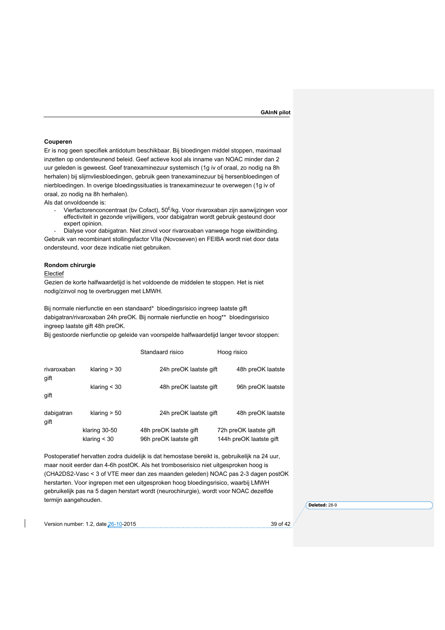#### **Couperen**

Er is nog geen specifiek antidotum beschikbaar. Bij bloedingen middel stoppen, maximaal inzetten op ondersteunend beleid. Geef actieve kool als inname van NOAC minder dan 2 uur geleden is geweest. Geef tranexaminezuur systemisch (1g iv of oraal, zo nodig na 8h herhalen) bij slijmvliesbloedingen, gebruik geen tranexaminezuur bij hersenbloedingen of nierbloedingen. In overige bloedingssituaties is tranexaminezuur te overwegen (1g iv of oraal, zo nodig na 8h herhalen).

Als dat onvoldoende is:

Vierfactorenconcentraat (by Cofact), 50<sup>E</sup>/kg. Voor rivaroxaban zijn aanwijzingen voor effectiviteit in gezonde vrijwilligers, voor dabigatran wordt gebruik gesteund door expert opinion.

- Dialyse voor dabigatran. Niet zinvol voor rivaroxaban vanwege hoge eiwitbinding. Gebruik van recombinant stollingsfactor VIIa (Novoseven) en FEIBA wordt niet door data ondersteund, voor deze indicatie niet gebruiken.

# **Rondom chirurgie**

### **Electief**

Gezien de korte halfwaardetijd is het voldoende de middelen te stoppen. Het is niet nodig/zinvol nog te overbruggen met LMWH.

Bij normale nierfunctie en een standaard\* bloedingsrisico ingreep laatste gift dabigatran/rivaroxaban 24h preOK. Bij normale nierfunctie en hoog\*\* bloedingsrisico ingreep laatste gift 48h preOK.

Bij gestoorde nierfunctie op geleide van voorspelde halfwaardetijd langer tevoor stoppen:

|                     |                | Standaard risico       | Hoog risico             |  |
|---------------------|----------------|------------------------|-------------------------|--|
| rivaroxaban<br>gift | klaring $>$ 30 | 24h preOK laatste gift | 48h preOK laatste       |  |
|                     | klaring $<$ 30 | 48h preOK laatste gift | 96h preOK laatste       |  |
| gift                |                |                        |                         |  |
| dabigatran<br>gift  | klaring $> 50$ | 24h preOK laatste gift | 48h preOK laatste       |  |
|                     | klaring 30-50  | 48h preOK laatste gift | 72h preOK laatste gift  |  |
|                     | klaring $<$ 30 | 96h preOK laatste gift | 144h preOK laatste gift |  |

Postoperatief hervatten zodra duidelijk is dat hemostase bereikt is, gebruikelijk na 24 uur, maar nooit eerder dan 4-6h postOK. Als het tromboserisico niet uitgesproken hoog is (CHA2DS2-Vasc < 3 of VTE meer dan zes maanden geleden) NOAC pas 2-3 dagen postOK herstarten. Voor ingrepen met een uitgesproken hoog bloedingsrisico, waarbij LMWH gebruikelijk pas na 5 dagen herstart wordt (neurochirurgie), wordt voor NOAC dezelfde termijn aangehouden.

**Deleted:** 28-9

Version number: 1.2, date 26-10-2015 39 of 42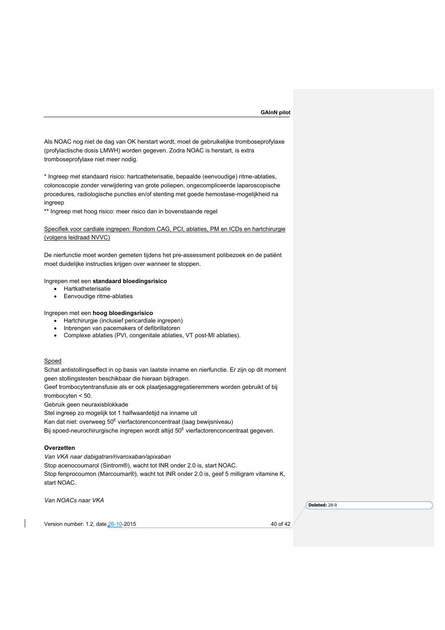Als NOAC nog niet de dag van OK herstart wordt, moet de gebruikelijke tromboseprofylaxe (profylactische dosis LMWH) worden gegeven. Zodra NOAC is herstart, is extra tromboseprofylaxe niet meer nodig.

\* Ingreep met standaard risico: hartcatheterisatie, bepaalde (eenvoudige) ritme-ablaties, colonoscopie zonder verwijdering van grote poliepen, ongecompliceerde laparoscopische procedures, radiologische puncties en/of stenting met goede hemostase-mogelijkheid na ingreep

\*\* Ingreep met hoog risico: meer risico dan in bovenstaande regel

Specifiek voor cardiale ingrepen: Rondom CAG, PCI, ablaties, PM en ICDs en hartchirurgie (volgens leidraad NVVC)

De nierfunctie moet worden gemeten tijdens het pre-assessment polibezoek en de patiënt moet duidelijke instructies krijgen over wanneer te stoppen.

# Ingrepen met een **standaard bloedingsrisico**

- Hartkatheterisatie
- Eenvoudige ritme-ablaties

Ingrepen met een **hoog bloedingsrisico**

- Hartchirurgie (inclusief pericardiale ingrepen)
- Inbrengen van pacemakers of defibrillatoren
- Complexe ablaties (PVI, congenitale ablaties, VT post-MI ablaties).

# Spoed

Schat antistollingseffect in op basis van laatste inname en nierfunctie. Er zijn op dit moment geen stollingstesten beschikbaar die hieraan bijdragen.

Geef trombocytentransfusie als er ook plaatjesaggregatieremmers worden gebruikt of bij trombocyten < 50.

Gebruik geen neuraxisblokkade

Stel ingreep zo mogelijk tot 1 halfwaardetijd na inname uit

Kan dat niet: overweeg  $50^E$  vierfactorenconcentraat (laag bewijsniveau)

Bij spoed-neurochirurgische ingrepen wordt altijd 50<sup>E</sup> vierfactorenconcentraat gegeven.

# **Overzetten**

*Van VKA naar dabigatran/rivaroxaban/apixaban* Stop acenocoumarol (Sintrom®), wacht tot INR onder 2.0 is, start NOAC. Stop fenprocoumon (Marcoumar®), wacht tot INR onder 2.0 is, geef 5 milligram vitamine K, start NOAC.

*Van NOACs naar VKA*

**Deleted:** 28-9

Version number: 1.2, date 26-10-2015 **40** of 42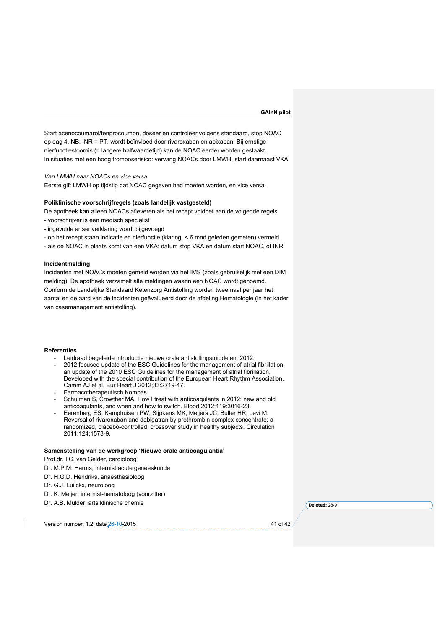Start acenocoumarol/fenprocoumon, doseer en controleer volgens standaard, stop NOAC op dag 4. NB: INR = PT, wordt beïnvloed door rivaroxaban en apixaban! Bij ernstige nierfunctiestoornis (= langere halfwaardetijd) kan de NOAC eerder worden gestaakt. In situaties met een hoog tromboserisico: vervang NOACs door LMWH, start daarnaast VKA

*Van LMWH naar NOACs en vice versa*

Eerste gift LMWH op tijdstip dat NOAC gegeven had moeten worden, en vice versa.

### **Poliklinische voorschrijfregels (zoals landelijk vastgesteld)**

De apotheek kan alleen NOACs afleveren als het recept voldoet aan de volgende regels:

- voorschrijver is een medisch specialist
- ingevulde artsenverklaring wordt bijgevoegd
- op het recept staan indicatie en nierfunctie (klaring, < 6 mnd geleden gemeten) vermeld
- als de NOAC in plaats komt van een VKA: datum stop VKA en datum start NOAC, of INR

#### **Incidentmelding**

Incidenten met NOACs moeten gemeld worden via het IMS (zoals gebruikelijk met een DIM melding). De apotheek verzamelt alle meldingen waarin een NOAC wordt genoemd. Conform de Landelijke Standaard Ketenzorg Antistolling worden tweemaal per jaar het aantal en de aard van de incidenten geëvalueerd door de afdeling Hematologie (in het kader van casemanagement antistolling).

#### **Referenties**

- Leidraad begeleide introductie nieuwe orale antistollingsmiddelen. 2012.
- 2012 focused update of the ESC Guidelines for the management of atrial fibrillation: an update of the 2010 ESC Guidelines for the management of atrial fibrillation. Developed with the special contribution of the European Heart Rhythm Association. Camm AJ et al. Eur Heart J 2012;33:2719-47.
- Farmacotherapeutisch Kompas
- Schulman S, Crowther MA. How I treat with anticoagulants in 2012: new and old anticoagulants, and when and how to switch. Blood 2012;119:3016-23.
- Eerenberg ES, Kamphuisen PW, Sijpkens MK, Meijers JC, Buller HR, Levi M. Reversal of rivaroxaban and dabigatran by prothrombin complex concentrate: a randomized, placebo-controlled, crossover study in healthy subjects. Circulation 2011;124:1573-9.

#### **Samenstelling van de werkgroep 'Nieuwe orale anticoagulantia'**

Prof.dr. I.C. van Gelder, cardioloog

Dr. M.P.M. Harms, internist acute geneeskunde

- Dr. H.G.D. Hendriks, anaesthesioloog
- Dr. G.J. Luijckx, neuroloog
- Dr. K. Meijer, internist-hematoloog (voorzitter)
- Dr. A.B. Mulder, arts klinische chemie

Version number: 1.2, date 26-10-2015 41 of 42